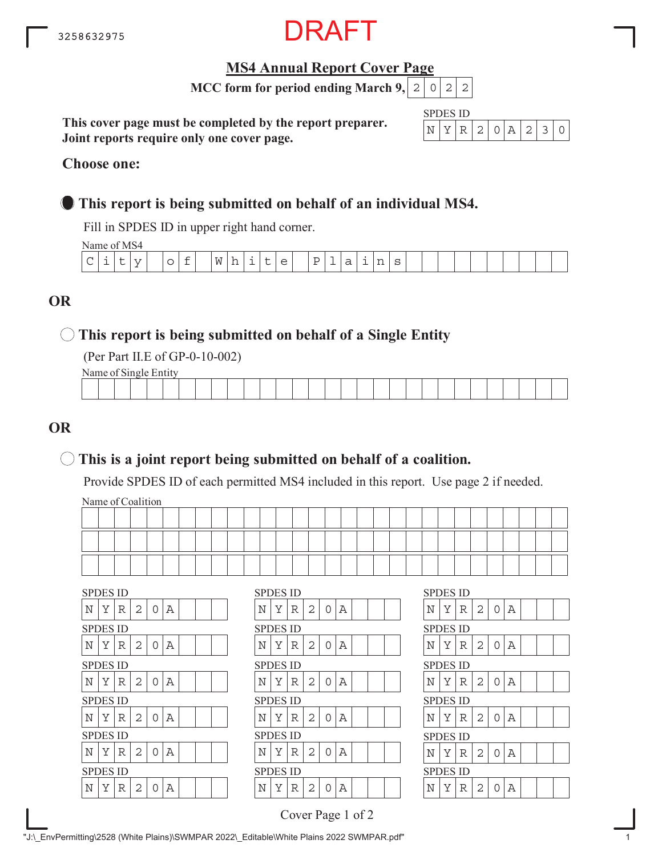

### **MS4 Annual Report Cover Page**

**MCC form for period ending March 9,**  $|2|0|2|2$ 

**This cover page must be completed by the report preparer. Joint reports require only one cover page.**

| SPDES ID |        |      |                  |   |               |  |
|----------|--------|------|------------------|---|---------------|--|
|          | ∵ i⊋ i | - 21 | $\left( \right)$ | Δ | $\mathcal{D}$ |  |

#### **Choose one:**

### **This report is being submitted on behalf of an individual MS4.**

Fill in SPDES ID in upper right hand corner.

Name of MS4

| - - - - - - - - - - - - - - |   |          |   |                          |                |     |                          |                          |          |                          |    |   |  |  |  |  |  |
|-----------------------------|---|----------|---|--------------------------|----------------|-----|--------------------------|--------------------------|----------|--------------------------|----|---|--|--|--|--|--|
| $\sim$<br>╰                 | ∽ | - -<br>- | ∽ | $\overline{\phantom{0}}$ | M<br><b>VV</b> | . . | $\overline{\phantom{0}}$ | $\overline{\phantom{0}}$ | <b>.</b> | $\overline{\phantom{0}}$ | -- | ~ |  |  |  |  |  |
|                             |   |          |   |                          |                |     |                          |                          |          |                          |    |   |  |  |  |  |  |

### **OR**

### **This report is being submitted on behalf of a Single Entity**

(Per Part II.E of GP-0-10-002)

Name of Single Entity

### **OR**

### **This is a joint report being submitted on behalf of a coalition.**

Provide SPDES ID of each permitted MS4 included in this report. Use page 2 if needed.

Name of Coalition

| ___ |  |  |  |  |  |  |  |  |  |  |  |  |  |  |  |
|-----|--|--|--|--|--|--|--|--|--|--|--|--|--|--|--|
|     |  |  |  |  |  |  |  |  |  |  |  |  |  |  |  |

|                 | <b>SPDES ID</b> |   |   |          |   |  | <b>SPDES ID</b> |   |   |                |   |   |  |  | <b>SPDES ID</b> |   |   |   |          |        |
|-----------------|-----------------|---|---|----------|---|--|-----------------|---|---|----------------|---|---|--|--|-----------------|---|---|---|----------|--------|
| N               | Y               | R | 2 | 0        | Α |  | N               | Y | R | 2              | ∩ | Α |  |  | N               | Y | R | 2 | $\Omega$ | Α      |
| <b>SPDES ID</b> |                 |   |   |          |   |  | <b>SPDES ID</b> |   |   |                |   |   |  |  | <b>SPDES ID</b> |   |   |   |          |        |
| Ν               | Y               | R | 2 | $\Omega$ | A |  | N               | Υ | R | $\overline{2}$ | ∩ | Α |  |  | N               | Υ | R | 2 | 0        | Α      |
| <b>SPDES ID</b> |                 |   |   |          |   |  | <b>SPDES ID</b> |   |   |                |   |   |  |  | <b>SPDES ID</b> |   |   |   |          |        |
| N               | Y               | R | 2 | 0        | Α |  | N               | Υ | R | 2              | ∩ | Α |  |  | N               | Υ | R | 2 | 0        | Α      |
|                 |                 |   |   |          |   |  |                 |   |   |                |   |   |  |  |                 |   |   |   |          |        |
| <b>SPDES ID</b> |                 |   |   |          |   |  | <b>SPDES ID</b> |   |   |                |   |   |  |  | <b>SPDES ID</b> |   |   |   |          |        |
| N               | Y               | R | 2 | 0        | Α |  | N               | Y | R | 2              | ∩ | Α |  |  | N               | Y | R | 2 | 0        |        |
| <b>SPDES ID</b> |                 |   |   |          |   |  | <b>SPDES ID</b> |   |   |                |   |   |  |  | <b>SPDES ID</b> |   |   |   |          |        |
| Ν               | Y               | R | 2 | 0        | Α |  | N               | Y | R | 2              | ∩ | Α |  |  | N               | Υ | R | 2 | 0        | Α<br>Α |
| <b>SPDES ID</b> |                 |   |   |          |   |  | <b>SPDES ID</b> |   |   |                |   |   |  |  | <b>SPDES ID</b> |   |   |   |          |        |

|   | <b>SPDES ID</b> |   |   |   |   |  |  |   | SPDES ID        |   |
|---|-----------------|---|---|---|---|--|--|---|-----------------|---|
| Ν | Υ               | R | 2 | 0 | А |  |  | Ν | Υ               | R |
|   | SPDES ID        |   |   |   |   |  |  |   | SPDES ID        |   |
| Ν | Y               | R | 2 | O | А |  |  | Ν | Y               | R |
|   | SPDES ID        |   |   |   |   |  |  |   | SPDES ID        |   |
| N | Υ               | R | 2 | O | А |  |  | Ν | Y               | R |
|   | SPDES ID        |   |   |   |   |  |  |   | <b>SPDES ID</b> |   |
| N | Y               | R | 2 | 0 | А |  |  | N | Y               | R |
|   | SPDES ID        |   |   |   |   |  |  |   | <b>SPDES ID</b> |   |
| N | Y               | R | 2 | 0 | А |  |  | Ν | Y               | R |
|   | SPDES ID        |   |   |   |   |  |  |   | SPDES ID        |   |
| Ν | Y               | R | 2 | ∩ | А |  |  | Ν | Y               | R |
|   |                 |   |   |   |   |  |  |   |                 |   |

| SPDES ID |   |   |                |             |   |  |  |
|----------|---|---|----------------|-------------|---|--|--|
| N        | Υ | R | 2              | $\mathsf O$ | Α |  |  |
| SPDES ID |   |   |                |             |   |  |  |
| N        | Y | R | $\overline{2}$ | 0           | A |  |  |
| SPDES ID |   |   |                |             |   |  |  |
| N        | Y | R | $\overline{2}$ | 0           | Α |  |  |
| SPDES ID |   |   |                |             |   |  |  |
| N        | Y | R | $\overline{2}$ | 0           | A |  |  |
| SPDES ID |   |   |                |             |   |  |  |
| N        | Y | R | $\overline{2}$ | 0           | A |  |  |
| SPDES ID |   |   |                |             |   |  |  |
| Ñ        | Y | R | $\overline{2}$ | Λ           | A |  |  |

Cover Page 1 of 2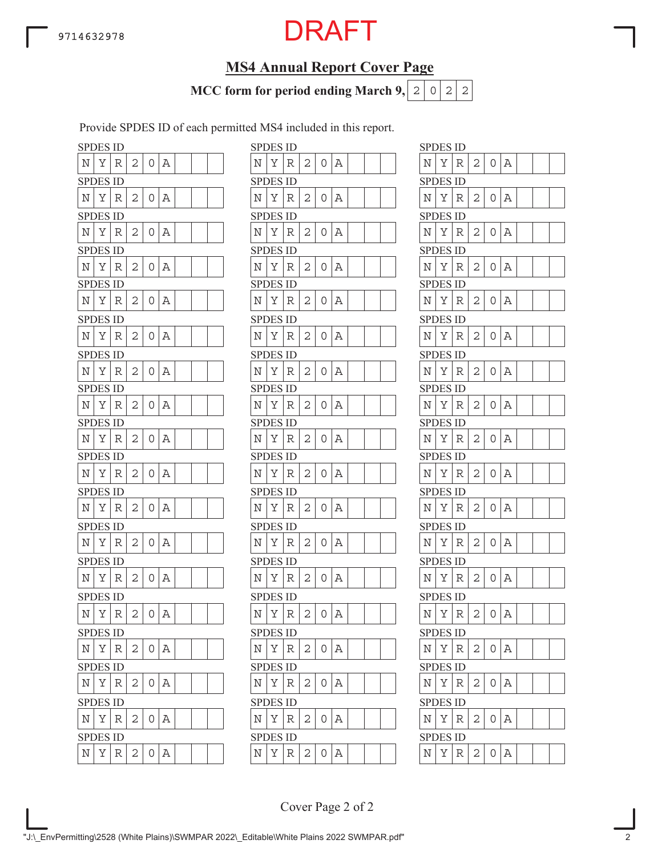## **MS4 Annual Report Cover Page**

**MCC form for period ending March 9,**  $|2|0|2|2$ 

Provide SPDES ID of each permitted MS4 included in this report.

| <b>SPDES ID</b> |          |   |   |   |   |  |   | SPDES ID        |   |
|-----------------|----------|---|---|---|---|--|---|-----------------|---|
| N               | Υ        | R | 2 | 0 | Α |  | N | Υ               | R |
| SPDES ID        |          |   |   |   |   |  |   | SPDES ID        |   |
| N               | Υ        | R | 2 | 0 | Α |  | N | Υ               | R |
| SPDES ID        |          |   |   |   |   |  |   | <b>SPDES ID</b> |   |
| N               | Υ        | R | 2 | 0 | Α |  | N | Υ               | R |
| <b>SPDES ID</b> |          |   |   |   |   |  |   | <b>SPDES ID</b> |   |
| Ν               | Υ        | R | 2 | 0 | Α |  | N | Υ               | R |
| <b>SPDES ID</b> |          |   |   |   |   |  |   | SPDES ID        |   |
| Ν               | Υ        | R | 2 | 0 | Α |  | N | Υ               | R |
| SPDES ID        |          |   |   |   |   |  |   | <b>SPDES ID</b> |   |
| N               | Υ        | R | 2 | 0 | Α |  | N | Υ               | R |
| SPDES ID        |          |   |   |   |   |  |   | SPDES ID        |   |
| N               | Υ        | R | 2 | 0 | Α |  | N | Υ               | R |
| <b>SPDES ID</b> |          |   |   |   |   |  |   | <b>SPDES ID</b> |   |
| N               | Υ        | R | 2 | 0 | Α |  | N | Υ               | R |
| SPDES ID        |          |   |   |   |   |  |   | <b>SPDES ID</b> |   |
| N               | Υ        | R | 2 | 0 | Α |  | N | Υ               | R |
|                 | SPDES ID |   |   |   |   |  |   | SPDES ID        |   |
| Ν               | Υ        | R | 2 | 0 | Α |  | Ν | Υ               | R |
| <b>SPDES ID</b> |          |   |   |   |   |  |   | <b>SPDES ID</b> |   |
| Ν               | Υ        | R | 2 | 0 | Α |  | N | Υ               | R |
| SPDES ID        |          |   |   |   |   |  |   | <b>SPDES ID</b> |   |
| N               | Υ        | R | 2 | 0 | Α |  | N | Υ               | R |
|                 | SPDES ID |   |   |   |   |  |   | SPDES ID        |   |
| N               | Υ        | R | 2 | 0 | Α |  | Ν | Υ               | R |
| <b>SPDES ID</b> |          |   |   |   |   |  |   | <b>SPDES ID</b> |   |
| N               | Υ        | R | 2 | 0 | Α |  | N | Υ               | R |
| SPDES ID        |          |   |   |   |   |  |   | <b>SPDES ID</b> |   |
| Ν               | Υ        | R | 2 | 0 | Α |  | Ν | Υ               | R |
| <b>SPDES ID</b> |          |   |   |   |   |  |   | <b>SPDES ID</b> |   |
| Ν               | Υ        | R | 2 | 0 | А |  | N | Υ               | R |
| <b>SPDES ID</b> |          |   |   |   |   |  |   | <b>SPDES ID</b> |   |
| N               | Υ        | R | 2 | 0 | Α |  | N | Υ               | R |
| <b>SPDES ID</b> |          |   |   |   |   |  |   | <b>SPDES ID</b> |   |
| N               | Υ        | R | 2 | 0 | Α |  | N | Υ               | R |

|            | <b>SPDES ID</b> |             |              |                |            |  |  |             | <b>SPDES ID</b> |   |   |          |     |  |  | <b>SPDES ID</b> |   |   |   |                |          |
|------------|-----------------|-------------|--------------|----------------|------------|--|--|-------------|-----------------|---|---|----------|-----|--|--|-----------------|---|---|---|----------------|----------|
| N          | Υ               | R           | 2            | 0              | Α          |  |  | Ν           | Υ               | R | 2 | 0        | Α   |  |  | N               | Υ | R | 2 | 0              | Α        |
|            | <b>SPDES ID</b> |             |              |                |            |  |  |             | <b>SPDES ID</b> |   |   |          |     |  |  | <b>SPDES ID</b> |   |   |   |                |          |
| Ν          | Υ               | R           | $\mathbf{2}$ | 0              | Α          |  |  | Ν           | Υ               | R | 2 | 0        | Α   |  |  | Ν               | Υ | R | 2 | 0              | А        |
|            | SPDES ID        |             |              |                |            |  |  |             | <b>SPDES ID</b> |   |   |          |     |  |  | <b>SPDES ID</b> |   |   |   |                |          |
| N          | Υ               | R           | 2            | 0              | Α          |  |  | Ν           | Υ               | R | 2 | 0        | А   |  |  | Ν               | Υ | R | 2 | $\overline{O}$ | Α        |
|            | <b>SPDES ID</b> |             |              |                |            |  |  |             | <b>SPDES ID</b> |   |   |          |     |  |  | <b>SPDES ID</b> |   |   |   |                |          |
| Ν          | Υ               | R           | 2            | 0              | Α          |  |  | Ν           | Υ               | R | 2 | 0        | Α   |  |  | N               | Υ | R | 2 | 0              | Α        |
|            | SPDES ID        |             |              |                |            |  |  |             | <b>SPDES ID</b> |   |   |          |     |  |  | <b>SPDES ID</b> |   |   |   |                |          |
| N          | Υ               | R           | 2            | 0              | Α          |  |  | Ν           | Υ               | R | 2 | 0        | А   |  |  | Ν               | Υ | R | 2 | 0              | А        |
|            | SPDES ID        |             |              |                |            |  |  |             | <b>SPDES ID</b> |   |   |          |     |  |  | <b>SPDES ID</b> |   |   |   |                |          |
| N          | Υ               | R           | 2            | 0              | Α          |  |  | Ν           | Y               | R | 2 | $\Omega$ | Α   |  |  | N               | Υ | R | 2 | $\overline{O}$ | Α        |
|            | <b>SPDES ID</b> |             |              |                |            |  |  |             | <b>SPDES ID</b> |   |   |          |     |  |  | <b>SPDES ID</b> |   |   |   |                |          |
| N          | Υ               | R           | 2            | 0              | Α          |  |  | N           | Y               | R | 2 | 0        | Α   |  |  | N               | Υ | R | 2 | $\Omega$       | А        |
|            | <b>SPDES ID</b> |             |              |                |            |  |  |             | <b>SPDES ID</b> |   |   |          |     |  |  | <b>SPDES ID</b> |   |   |   |                |          |
| N          | Υ               | R           | $\mathbf{2}$ | 0              | Α          |  |  | Ν           | Υ               | R | 2 | 0        | Α   |  |  | N               | Υ | R | 2 | 0              | А        |
|            | SPDES ID        |             |              |                |            |  |  |             | <b>SPDES ID</b> |   |   |          |     |  |  | <b>SPDES ID</b> |   |   |   |                |          |
| Ν          | Υ               | R           | 2            | 0              | Α          |  |  | N           | Υ               | R | 2 | 0        | Α   |  |  | N               | Υ | R | 2 | 0              | А        |
|            | <b>SPDES ID</b> |             |              |                |            |  |  |             | <b>SPDES ID</b> |   |   |          |     |  |  | <b>SPDES ID</b> |   |   |   |                |          |
| N          | Υ               | R           | 2            | 0              | Α          |  |  | N           | Υ               | R | 2 | 0        | Α   |  |  | Ν               | Υ | R | 2 | $\overline{O}$ | Α        |
|            | SPDES ID        |             |              |                |            |  |  |             | <b>SPDES ID</b> |   |   |          |     |  |  | <b>SPDES ID</b> |   |   |   |                |          |
| N          | Υ               | R           | 2            | 0              | Α          |  |  | Ν           | Υ               | R | 2 | 0        | Α   |  |  | N               | Υ | R | 2 | O              | А        |
|            | <b>SPDES ID</b> |             |              |                |            |  |  |             | <b>SPDES ID</b> |   |   |          |     |  |  | <b>SPDES ID</b> |   |   |   |                |          |
| N          | Υ               | R           | 2            | 0              | Α          |  |  | N           | Υ               | R | 2 | 0        | Α   |  |  | Ν               | Υ | R | 2 | 0              | А        |
|            | <b>SPDES ID</b> |             |              |                |            |  |  |             | <b>SPDES ID</b> |   |   |          |     |  |  | <b>SPDES ID</b> |   |   |   |                |          |
| Ν          | Υ               | R           | 2            | 0              | Α          |  |  | Ν           | Υ               | R | 2 | 0        | Α   |  |  | N               | Υ | R | 2 | 0              | Α        |
|            | <b>SPDES ID</b> |             |              |                |            |  |  |             | <b>SPDES ID</b> |   |   |          |     |  |  | <b>SPDES ID</b> |   |   |   |                |          |
| Ν          | Υ               | $\mathbb R$ | 2            | 0              | Α          |  |  | N           | Υ               | R | 2 | 0        | Α   |  |  | N               | Υ | R | 2 | 0              | Α        |
|            | <b>SPDES ID</b> |             |              |                |            |  |  |             | <b>SPDES ID</b> |   |   |          |     |  |  | <b>SPDES ID</b> |   |   |   |                |          |
| $_{\rm N}$ | Υ               | R           | 2            |                | 0   A      |  |  | Ν           | Υ               | R | 2 | 0        | Α   |  |  | $\mathbb N$     | Υ | R | 2 | 0              | Α        |
|            | <b>SPDES ID</b> |             |              |                |            |  |  |             | <b>SPDES ID</b> |   |   |          |     |  |  | <b>SPDES ID</b> |   |   |   |                |          |
| N          | Y R             |             | 2            | $\cup$         | Α          |  |  | $\mathbf N$ | $Y \mid$        | R | 2 | 0        | Α   |  |  | Ν               | Υ | R | 2 | O              | А        |
|            | <b>SPDES ID</b> |             |              |                |            |  |  |             | <b>SPDES ID</b> |   |   |          |     |  |  | <b>SPDES ID</b> |   |   |   |                |          |
| Ν          | Υ               | R           | 2            |                | $0 \mid A$ |  |  | N           | Υ               | R | 2 | 0        | l A |  |  | $\mathbb N$     | Υ | R | 2 | $\overline{O}$ | $\Delta$ |
|            | <b>SPDES ID</b> |             |              |                |            |  |  |             | <b>SPDES ID</b> |   |   |          |     |  |  | <b>SPDES ID</b> |   |   |   |                |          |
| Ν          | Υ               | R           | 2            | 0 <sup>1</sup> | Α          |  |  | $\rm N$     | Υ               | R | 2 | 0        | A   |  |  | $\rm N$         | Υ | R | 2 | $0 \Delta$     |          |
|            |                 |             |              |                |            |  |  |             |                 |   |   |          |     |  |  |                 |   |   |   |                |          |

| <b>SPDES ID</b> |        |    |                |   |   |  |  |
|-----------------|--------|----|----------------|---|---|--|--|
| N               | Υ      | R  | 2              | 0 | Α |  |  |
| SPDES ID        |        |    |                |   |   |  |  |
| N               | Υ      | R  | 2              | 0 | Α |  |  |
| <b>SPI</b>      | DES ID |    |                |   |   |  |  |
| Ν               | Υ      | R  | 2              | 0 | Α |  |  |
| SPDES           |        | ID |                |   |   |  |  |
| N               | Υ      | R  | 2              | 0 | Α |  |  |
| <b>SPDES ID</b> |        |    |                |   |   |  |  |
| N               | Υ      | R  | 2              | 0 | Α |  |  |
| <b>SPDES ID</b> |        |    |                |   |   |  |  |
| Ν               | Υ      | R  | $\overline{c}$ | 0 | Α |  |  |
| SPDES ID        |        |    |                |   |   |  |  |
| N               | Y      | R  | 2              | 0 | Α |  |  |
| <b>SPDES ID</b> |        |    |                |   |   |  |  |
| N               | Υ      | R  | 2              | 0 | Α |  |  |
| <b>SPDES ID</b> |        |    |                |   |   |  |  |
| N               | Υ      | R  | $\overline{2}$ | 0 | A |  |  |
| <b>SPDES ID</b> |        |    |                |   |   |  |  |
| Ν               | Υ      | R  | 2              | 0 | Α |  |  |
| <b>SPDES ID</b> |        |    |                |   |   |  |  |
| N               | Υ      | R  | 2              | 0 | Α |  |  |
| <b>SPDES ID</b> |        |    |                |   |   |  |  |
| Ν               | Υ      | R  | $\overline{2}$ | 0 | A |  |  |
| SPDES ID        |        |    |                |   |   |  |  |
| Ν               | Υ      | R  | 2              | 0 | Α |  |  |
| <b>SPDES ID</b> |        |    |                |   |   |  |  |
| Ń               | Y      | R  | $\overline{c}$ | 0 | A |  |  |
| <b>SPDES ID</b> |        |    |                |   |   |  |  |
| N               | Υ      | R  | 2              | 0 | Α |  |  |
| <b>SPDES ID</b> |        |    |                |   |   |  |  |
| N               | Υ      | R  | 2              | 0 | Α |  |  |
| <b>SPDES ID</b> |        |    |                |   |   |  |  |
| N               | Υ      | R  | $\overline{c}$ | 0 | A |  |  |
| <b>SPDES</b>    |        | ID |                |   |   |  |  |
| N               | Υ      | R  | 2              | 0 | Α |  |  |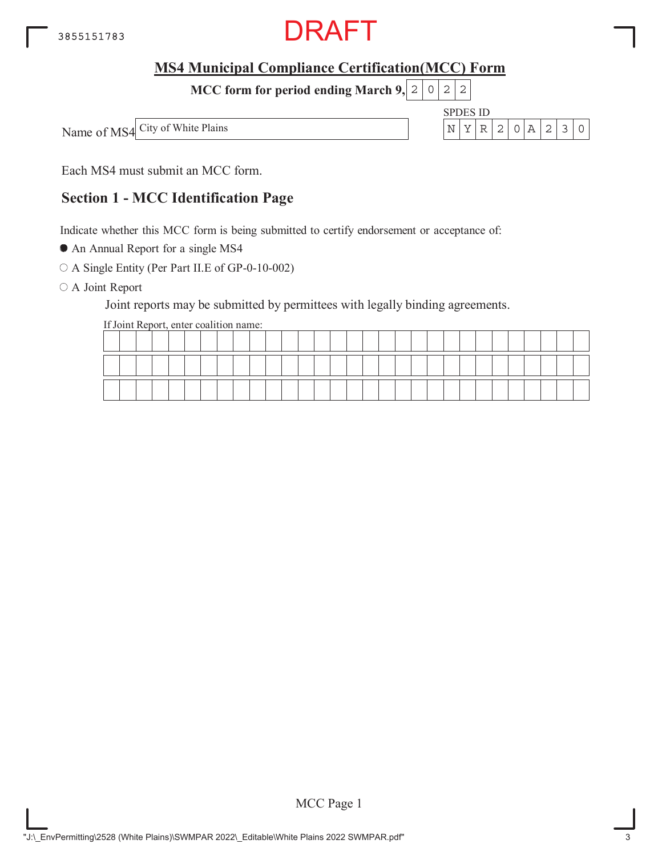

**MCC form for period ending March 9, 2 0 2 2** 

Name of MS4 City of White Plains



Each MS4 must submit an MCC form.

### **Section 1 - MCC Identification Page**

Indicate whether this MCC form is being submitted to certify endorsement or acceptance of:

An Annual Report for a single MS4

A Single Entity (Per Part II.E of GP-0-10-002)

O A Joint Report

Joint reports may be submitted by permittees with legally binding agreements.

If Joint Report, enter coalition name:

|  |  | -- |  |  |  |  |  |  |  |  |  |  |  |  |  |
|--|--|----|--|--|--|--|--|--|--|--|--|--|--|--|--|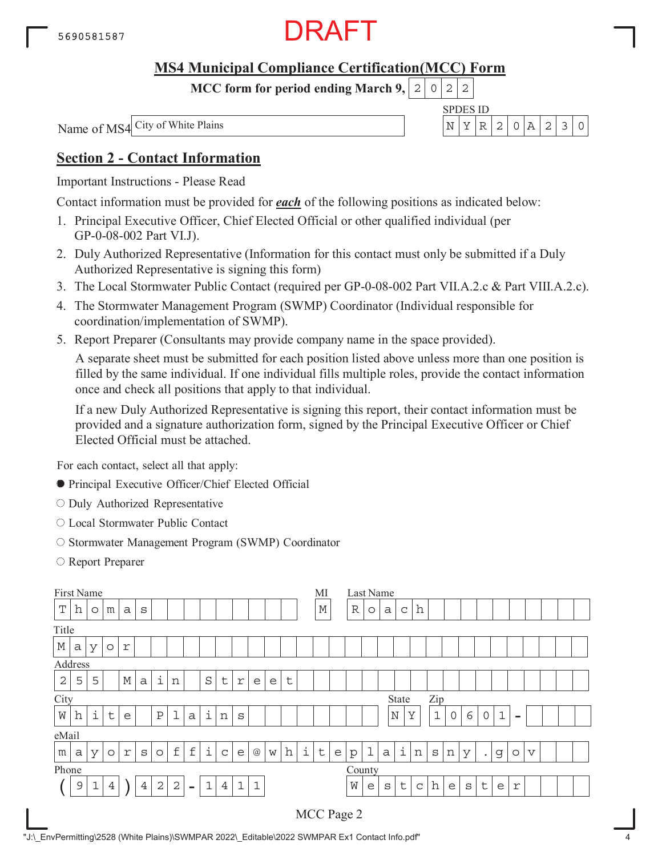

**MCC form for period ending March 9,**  $0|2|2$ 

SPDES ID

Name of MS4 City of White Plains N YR 2 0A 230

### **Section 2 - Contact Information**

Important Instructions - Please Read

Contact information must be provided for *each* of the following positions as indicated below:

- 1. Principal Executive Officer, Chief Elected Official or other qualified individual (per GP-0-08-002 Part VI.J).
- 2. Duly Authorized Representative (Information for this contact must only be submitted if a Duly Authorized Representative is signing this form)
- 3. The Local Stormwater Public Contact (required per GP-0-08-002 Part VII.A.2.c & Part VIII.A.2.c).
- 4. The Stormwater Management Program (SWMP) Coordinator (Individual responsible for coordination/implementation of SWMP).
- 5. Report Preparer (Consultants may provide company name in the space provided).

A separate sheet must be submitted for each position listed above unless more than one position is filled by the same individual. If one individual fills multiple roles, provide the contact information once and check all positions that apply to that individual.

If a new Duly Authorized Representative is signing this report, their contact information must be provided and a signature authorization form, signed by the Principal Executive Officer or Chief Elected Official must be attached.

For each contact, select all that apply:

- Principal Executive Officer/Chief Elected Official
- O Duly Authorized Representative
- Local Stormwater Public Contact
- O Stormwater Management Program (SWMP) Coordinator
- Report Preparer

| First Name  |   |             |                |   |                |              |                |                |             |                |             |             |   |   |   | MI          |              | Last Name   |             |              |             |             |              |   |   |           |             |          |                         |  |  |
|-------------|---|-------------|----------------|---|----------------|--------------|----------------|----------------|-------------|----------------|-------------|-------------|---|---|---|-------------|--------------|-------------|-------------|--------------|-------------|-------------|--------------|---|---|-----------|-------------|----------|-------------------------|--|--|
| $\mathbf T$ | h | $\circ$     | m              | a | S              |              |                |                |             |                |             |             |   |   |   | $\mathbb M$ |              | $\mathbb R$ | $\circ$     | a            | C           | h           |              |   |   |           |             |          |                         |  |  |
| Title       |   |             |                |   |                |              |                |                |             |                |             |             |   |   |   |             |              |             |             |              |             |             |              |   |   |           |             |          |                         |  |  |
| $\mathbb M$ | a | У           | $\circ$        | r |                |              |                |                |             |                |             |             |   |   |   |             |              |             |             |              |             |             |              |   |   |           |             |          |                         |  |  |
| Address     |   |             |                |   |                |              |                |                |             |                |             |             |   |   |   |             |              |             |             |              |             |             |              |   |   |           |             |          |                         |  |  |
| 2           | 5 | 5           |                | М | a              | i            | n              |                | S           | t              | $\mathbf r$ | e           | e | t |   |             |              |             |             |              |             |             |              |   |   |           |             |          |                         |  |  |
| City        |   |             |                |   |                |              |                |                |             |                |             |             |   |   |   |             |              |             |             |              | State       |             | Zip          |   |   |           |             |          |                         |  |  |
| W           | h | i           | $\mathsf{t}$   | e |                | $\, {\bf P}$ | $\mathbf 1$    | $\alpha$       | i           | n              | S           |             |   |   |   |             |              |             |             |              | $\mathbb N$ | Υ           | $\mathbf 1$  | 0 | 6 | 0         | $\mathbf 1$ | $\equiv$ |                         |  |  |
| eMail       |   |             |                |   |                |              |                |                |             |                |             |             |   |   |   |             |              |             |             |              |             |             |              |   |   |           |             |          |                         |  |  |
| m           | a | У           | $\circ$        | r | S              | $\circ$      | $\mathbf f$    | $\mathbf f$    | i           | $\mathsf C$    | e           | $@$         | W | h | i | $\sf t$     | $\mathsf{e}$ | $\rm p$     | $\mathbf 1$ | $\mathsf{a}$ | i           | n           | $\mathtt{s}$ | n | У | $\bullet$ | g           | $\circ$  | $\overline{\mathsf{V}}$ |  |  |
| Phone       |   |             |                |   |                |              |                |                |             |                |             |             |   |   |   |             |              | County      |             |              |             |             |              |   |   |           |             |          |                         |  |  |
|             | 9 | $\mathbf 1$ | $\overline{4}$ |   | $\overline{4}$ | $\sqrt{2}$   | $\overline{2}$ | $\blacksquare$ | $\mathbf 1$ | $\overline{4}$ | $\mathbf 1$ | $\mathbf 1$ |   |   |   |             |              | W           | e           | S            | t           | $\mathsf C$ | h            | e | S | t         | e           | r        |                         |  |  |
|             |   |             |                |   |                |              |                |                |             |                |             |             |   |   |   |             |              | MCC Page 2  |             |              |             |             |              |   |   |           |             |          |                         |  |  |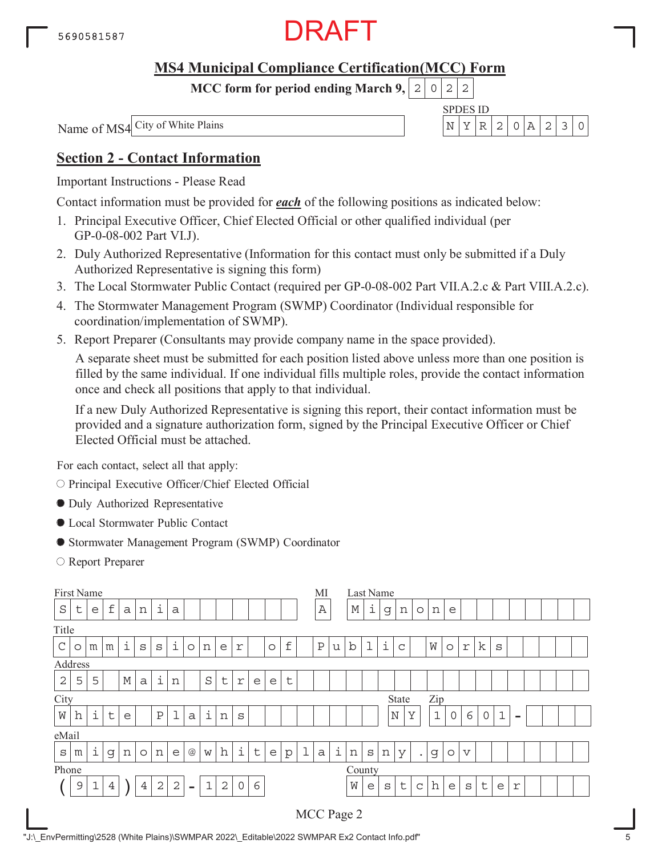

**MCC form for period ending March 9,**  $0|2|2$ 

SPDES ID

Name of MS4 City of White Plains N YR 2 0A 230

### **Section 2 - Contact Information**

Important Instructions - Please Read

Contact information must be provided for *each* of the following positions as indicated below:

- 1. Principal Executive Officer, Chief Elected Official or other qualified individual (per GP-0-08-002 Part VI.J).
- 2. Duly Authorized Representative (Information for this contact must only be submitted if a Duly Authorized Representative is signing this form)
- 3. The Local Stormwater Public Contact (required per GP-0-08-002 Part VII.A.2.c & Part VIII.A.2.c).
- 4. The Stormwater Management Program (SWMP) Coordinator (Individual responsible for coordination/implementation of SWMP).
- 5. Report Preparer (Consultants may provide company name in the space provided).

A separate sheet must be submitted for each position listed above unless more than one position is filled by the same individual. If one individual fills multiple roles, provide the contact information once and check all positions that apply to that individual.

If a new Duly Authorized Representative is signing this report, their contact information must be provided and a signature authorization form, signed by the Principal Executive Officer or Chief Elected Official must be attached.

For each contact, select all that apply:

O Principal Executive Officer/Chief Elected Official

- Duly Authorized Representative
- Local Stormwater Public Contact
- Stormwater Management Program (SWMP) Coordinator
- Report Preparer

| First Name     |                                                                                                                                                          |           |              |             |         |              |              |          |   |   |            |         |         |             |             | МI           |   |             | Last Name    |   |              |           |              |         |                 |             |             |          |  |  |
|----------------|----------------------------------------------------------------------------------------------------------------------------------------------------------|-----------|--------------|-------------|---------|--------------|--------------|----------|---|---|------------|---------|---------|-------------|-------------|--------------|---|-------------|--------------|---|--------------|-----------|--------------|---------|-----------------|-------------|-------------|----------|--|--|
| $\rm S$        | t                                                                                                                                                        | e         | $\mathbf f$  | a           | n       | i            | $\mathsf{a}$ |          |   |   |            |         |         |             |             | Α            |   | $\mathbb M$ | i            | g | n            | $\circ$   | n            | e       |                 |             |             |          |  |  |
| Title          |                                                                                                                                                          |           |              |             |         |              |              |          |   |   |            |         |         |             |             |              |   |             |              |   |              |           |              |         |                 |             |             |          |  |  |
| $\mathcal{C}$  | O                                                                                                                                                        | m         | m            | i           | S       | S            | i            | $\circ$  | n | e | r          |         | $\circ$ | $\mathbf f$ |             | $\, {\bf P}$ | u | $\mathbf b$ | 1            | i | C            |           | W            | $\circ$ | $\Upsilon$      | k           | S           |          |  |  |
| Address        |                                                                                                                                                          |           |              |             |         |              |              |          |   |   |            |         |         |             |             |              |   |             |              |   |              |           |              |         |                 |             |             |          |  |  |
| $\overline{2}$ | 5                                                                                                                                                        | 5         |              | $\mathbb M$ | a       | i            | n            |          | S | t | $\Upsilon$ | e       | e       | $\sf t$     |             |              |   |             |              |   |              |           |              |         |                 |             |             |          |  |  |
| City           |                                                                                                                                                          |           |              |             |         |              |              |          |   |   |            |         |         |             |             |              |   |             |              |   | State        |           | Zip          |         |                 |             |             |          |  |  |
| W              | h                                                                                                                                                        | $\dot{1}$ | $\mathsf{t}$ | e           |         | $\, {\bf P}$ | $\mathbf 1$  | $\alpha$ | i | n | S          |         |         |             |             |              |   |             |              |   | $\mathbb N$  | Y         | $\mathbf{1}$ | 0       | 6               | $\mathbf 0$ | $\mathbf 1$ | $\equiv$ |  |  |
| eMail          |                                                                                                                                                          |           |              |             |         |              |              |          |   |   |            |         |         |             |             |              |   |             |              |   |              |           |              |         |                 |             |             |          |  |  |
| $\mathtt{s}$   | m                                                                                                                                                        | i         | g            | n           | $\circ$ | n            | e            | @        | W | h | i          | $\sf t$ | e       | p           | $\mathbf 1$ | $\mathsf{a}$ | i | n           | $\mathbf S$  | n | У            | $\bullet$ | g            | $\circ$ | $\triangledown$ |             |             |          |  |  |
|                |                                                                                                                                                          |           |              |             |         |              |              |          |   |   |            |         |         |             |             |              |   | County      |              |   |              |           |              |         |                 |             |             |          |  |  |
|                | Phone<br>$\sqrt{2}$<br>$\overline{2}$<br>$\mathbf 0$<br>6<br>$\mathbf 1$<br>$\mathbf{1}$<br>$\overline{2}$<br>9<br>$\overline{4}$<br>4<br>$\blacksquare$ |           |              |             |         |              |              |          |   |   |            |         |         |             |             |              | W | e           | $\mathtt{s}$ | t | $\mathsf{C}$ | h         | e            | S       | t               | e           | r           |          |  |  |
|                |                                                                                                                                                          |           |              |             |         |              |              |          |   |   |            |         |         |             |             |              |   | MCC Page 2  |              |   |              |           |              |         |                 |             |             |          |  |  |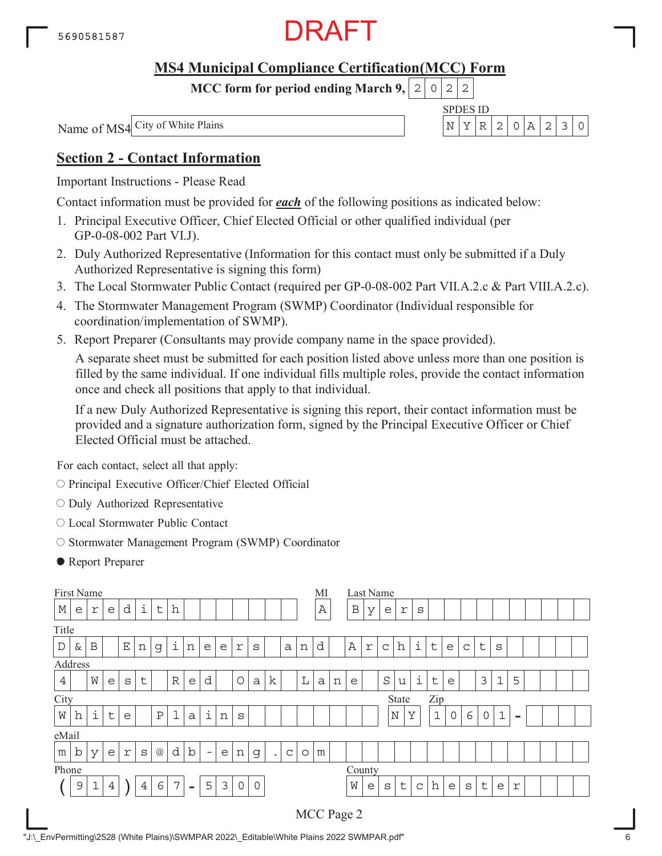

**MCC form for period ending March 9,**  $0|2|2$ 

SPDES ID

Name of MS4 City of White Plains N YR 2 0A 230

### **Section 2 - Contact Information**

Important Instructions - Please Read

Contact information must be provided for *each* of the following positions as indicated below:

- 1. Principal Executive Officer, Chief Elected Official or other qualified individual (per GP-0-08-002 Part VI.J).
- 2. Duly Authorized Representative (Information for this contact must only be submitted if a Duly Authorized Representative is signing this form)
- 3. The Local Stormwater Public Contact (required per GP-0-08-002 Part VII.A.2.c & Part VIII.A.2.c).
- 4. The Stormwater Management Program (SWMP) Coordinator (Individual responsible for coordination/implementation of SWMP).
- 5. Report Preparer (Consultants may provide company name in the space provided).

A separate sheet must be submitted for each position listed above unless more than one position is filled by the same individual. If one individual fills multiple roles, provide the contact information once and check all positions that apply to that individual.

If a new Duly Authorized Representative is signing this report, their contact information must be provided and a signature authorization form, signed by the Principal Executive Officer or Chief Elected Official must be attached.

For each contact, select all that apply:

- O Principal Executive Officer/Chief Elected Official
- $\circ$  Duly Authorized Representative
- Local Stormwater Public Contact
- O Stormwater Management Program (SWMP) Coordinator
- Report Preparer

| First Name  |             |   |                  |             |                |                 |             |                          |                          |   |             |              |             |             |             | MI           |   |              |   | Last Name   |             |             |             |             |              |             |             |                          |  |  |
|-------------|-------------|---|------------------|-------------|----------------|-----------------|-------------|--------------------------|--------------------------|---|-------------|--------------|-------------|-------------|-------------|--------------|---|--------------|---|-------------|-------------|-------------|-------------|-------------|--------------|-------------|-------------|--------------------------|--|--|
| $\mathbb M$ | e           | r | e                | d           | i              | t               | h           |                          |                          |   |             |              |             |             |             | $\, {\bf A}$ |   | $\, {\bf B}$ | У | e           | r           | S           |             |             |              |             |             |                          |  |  |
| Title       |             |   |                  |             |                |                 |             |                          |                          |   |             |              |             |             |             |              |   |              |   |             |             |             |             |             |              |             |             |                          |  |  |
| $\mathbb D$ | &           | B |                  | $\mathbf E$ | n              | g               | i           | n                        | e                        | e | r           | S            |             | a           | n           | d            |   | $\mathbb A$  | r | $\mathsf C$ | h           | i           | t           | e           | $\mathsf{C}$ | $\mathsf t$ | S           |                          |  |  |
| Address     |             |   |                  |             |                |                 |             |                          |                          |   |             |              |             |             |             |              |   |              |   |             |             |             |             |             |              |             |             |                          |  |  |
| 4           |             | W | e                | S           | t              |                 | $\mathbb R$ | e                        | d                        |   | O           | $\mathsf{a}$ | $\mathbf k$ |             | $\mathbb L$ | a            | n | e            |   | $\rm S$     | u           | i           | $\sf t$     | e           |              | 3           | 1           | 5                        |  |  |
| City        |             |   |                  |             |                |                 |             |                          |                          |   |             |              |             |             |             |              |   |              |   | State       |             | Zip         |             |             |              |             |             |                          |  |  |
| W           | h           | i | t                | e           |                | $\, {\bf P}$    | $\mathbf 1$ | $\alpha$                 | i                        | n | S           |              |             |             |             |              |   |              |   |             | $\mathbb N$ | Y           | $\mathbf 1$ | $\mathbf 0$ | 6            | 0           | $\mathbf 1$ | $\overline{\phantom{a}}$ |  |  |
| eMail       |             |   |                  |             |                |                 |             |                          |                          |   |             |              |             |             |             |              |   |              |   |             |             |             |             |             |              |             |             |                          |  |  |
| m           | $\mathbf b$ | У | e                | $\Upsilon$  | S              | $^{\copyright}$ | d           | b                        | $\overline{\phantom{m}}$ | e | n           | $\mathsf{G}$ | $\bullet$   | $\mathsf C$ | $\circ$     | m            |   |              |   |             |             |             |             |             |              |             |             |                          |  |  |
| Phone       |             |   |                  |             |                |                 |             |                          |                          |   |             |              |             |             |             |              |   | County       |   |             |             |             |             |             |              |             |             |                          |  |  |
|             | 9           | 1 | $\ensuremath{4}$ |             | $\overline{4}$ | 6               | 7           | $\overline{\phantom{0}}$ | 5                        | 3 | $\mathbf 0$ | $\mathbf 0$  |             |             |             |              |   | W            | e | S           | $\sf t$     | $\mathsf C$ | h           | e           | $\rm s$      | $\sf t$     | e           | r                        |  |  |
|             |             |   |                  |             |                |                 |             |                          |                          |   |             |              |             |             |             | MCC Page 2   |   |              |   |             |             |             |             |             |              |             |             |                          |  |  |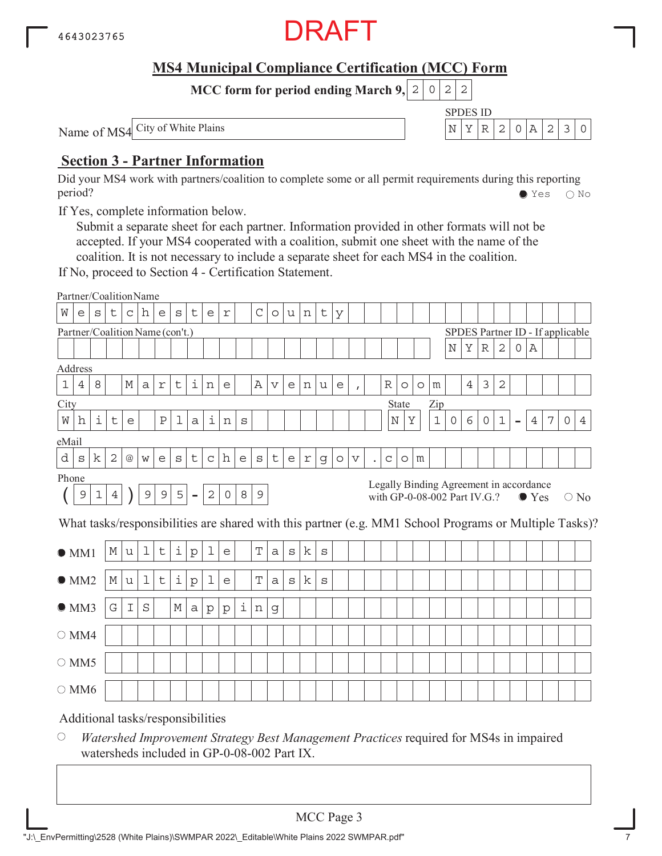

SPDES ID

 $N|Y|R|2|0|A|2|3|0$ 

**MCC form for period ending March 9, 2 0 2 2** 

Name of MS4 City of White Plains

### **Section 3 - Partner Information**

Did your MS4 work with partners/coalition to complete some or all permit requirements during this reporting period? Yes No

If Yes, complete information below.

Submit a separate sheet for each partner. Information provided in other formats will not be accepted. If your MS4 cooperated with a coalition, submit one sheet with the name of the coalition. It is not necessary to include a separate sheet for each MS4 in the coalition.

If No, proceed to Section 4 - Certification Statement.

|                | Partner/CoalitionName             |              |                |                 |              |              |   |                          |                    |            |                           |              |                 |              |            |              |         |                           |                      |             |                                                                         |         |             |             |                |             |                |                              |               |   |                                  |                                                                                                        |
|----------------|-----------------------------------|--------------|----------------|-----------------|--------------|--------------|---|--------------------------|--------------------|------------|---------------------------|--------------|-----------------|--------------|------------|--------------|---------|---------------------------|----------------------|-------------|-------------------------------------------------------------------------|---------|-------------|-------------|----------------|-------------|----------------|------------------------------|---------------|---|----------------------------------|--------------------------------------------------------------------------------------------------------|
| W              | e                                 | $\mathtt{s}$ | t              | $\mathsf C$     | h            | е            | S | $\mathsf t$              | e                  | $\Upsilon$ |                           | $\mathsf C$  | $\circ$         | u            | $\,$ n     | $\mathsf t$  | У       |                           |                      |             |                                                                         |         |             |             |                |             |                |                              |               |   |                                  |                                                                                                        |
|                | Partner/Coalition Name (con't.)   |              |                |                 |              |              |   |                          |                    |            |                           |              |                 |              |            |              |         |                           |                      |             |                                                                         |         |             |             |                |             |                |                              |               |   | SPDES Partner ID - If applicable |                                                                                                        |
|                |                                   |              |                |                 |              |              |   |                          |                    |            |                           |              |                 |              |            |              |         |                           |                      |             |                                                                         |         |             | $\mathbf N$ | Υ              | $\mathbb R$ | 2              | 0                            | Α             |   |                                  |                                                                                                        |
| Address        |                                   |              |                |                 |              |              |   |                          |                    |            |                           |              |                 |              |            |              |         |                           |                      |             |                                                                         |         |             |             |                |             |                |                              |               |   |                                  |                                                                                                        |
| $1\,$          | $\ensuremath{4}$                  | 8            |                | М               | $\mathsf{a}$ | $\Upsilon$   | t | i                        | n                  | e          |                           | Α            | $\triangledown$ | e            | n          | u            | e       | $\mathbf{r}$              |                      | R           | $\circ$                                                                 | $\circ$ | m           |             | $\overline{4}$ | 3           | $\overline{2}$ |                              |               |   |                                  |                                                                                                        |
| City           |                                   |              |                |                 |              |              |   |                          |                    |            |                           |              |                 |              |            |              |         |                           |                      |             | State                                                                   |         | Zip         |             |                |             |                |                              |               |   |                                  |                                                                                                        |
| $\rm W$        | h                                 | i            | t              | e               |              | $\, {\bf P}$ | ı | a                        | $\dot{\mathtt{l}}$ | n          | S                         |              |                 |              |            |              |         |                           |                      |             | $\rm N$<br>Υ                                                            |         | $\mathbf 1$ | $\circ$     | 6              | $\circ$     | $1\,$          | $\qquad \qquad \blacksquare$ | 4             | 7 | $\circ$                          | 4                                                                                                      |
| eMail          |                                   |              |                |                 |              |              |   |                          |                    |            |                           |              |                 |              |            |              |         |                           |                      |             |                                                                         |         |             |             |                |             |                |                              |               |   |                                  |                                                                                                        |
| d              | S                                 | k            | 2              | $^{\copyright}$ | W            | e            | S | $\mathsf t$              | $\mathsf C$        | h          | $\mathop{\rm e}\nolimits$ | $\mathtt{s}$ | $\sf t$         | e            | $\Upsilon$ | g            | $\circ$ | $\boldsymbol{\mathrm{V}}$ | $\ddot{\phantom{0}}$ | $\mathsf C$ | $\circ$                                                                 | m       |             |             |                |             |                |                              |               |   |                                  |                                                                                                        |
| Phone          |                                   |              |                |                 |              |              |   |                          |                    |            |                           |              |                 |              |            |              |         |                           |                      |             |                                                                         |         |             |             |                |             |                |                              |               |   |                                  |                                                                                                        |
|                | $\overline{9}$                    | $\mathbf 1$  | $\overline{4}$ |                 | $\mathsf 9$  | $\mathsf 9$  | 5 | $\overline{\phantom{a}}$ | $\mathbf{2}$       | 0          | 8                         | 9            |                 |              |            |              |         |                           |                      |             | Legally Binding Agreement in accordance<br>with GP-0-08-002 Part IV.G.? |         |             |             |                |             |                |                              | $\bullet$ Yes |   |                                  | $\bigcirc$ No                                                                                          |
|                |                                   |              |                |                 |              |              |   |                          |                    |            |                           |              |                 |              |            |              |         |                           |                      |             |                                                                         |         |             |             |                |             |                |                              |               |   |                                  | What tasks/responsibilities are shared with this partner (e.g. MM1 School Programs or Multiple Tasks)? |
|                |                                   |              |                |                 |              |              |   |                          |                    |            |                           |              |                 |              |            |              |         |                           |                      |             |                                                                         |         |             |             |                |             |                |                              |               |   |                                  |                                                                                                        |
|                | OM1                               |              | М              | u               | $\mathbf 1$  | t            | i | ${\rm p}$                | 1                  | e          |                           | $\mathbf T$  | $\mathsf{a}$    | $\mathtt{s}$ | k          | $\mathtt{s}$ |         |                           |                      |             |                                                                         |         |             |             |                |             |                |                              |               |   |                                  |                                                                                                        |
|                | OMM2                              |              | $\mathbb M$    | u               | 1            | $\sf t$      | i | ${\rm p}$                | 1                  | e          |                           | $\mathbf T$  | $\mathsf{a}$    | $\mathtt{s}$ | k          | $\mathtt{s}$ |         |                           |                      |             |                                                                         |         |             |             |                |             |                |                              |               |   |                                  |                                                                                                        |
|                |                                   |              |                |                 |              |              |   |                          |                    |            |                           |              |                 |              |            |              |         |                           |                      |             |                                                                         |         |             |             |                |             |                |                              |               |   |                                  |                                                                                                        |
|                | OMM3                              |              | G              | I               | S            |              | М | a                        | $\rm p$            | $\rm p$    | i                         | n            | g               |              |            |              |         |                           |                      |             |                                                                         |         |             |             |                |             |                |                              |               |   |                                  |                                                                                                        |
| $\bigcirc$ MM4 |                                   |              |                |                 |              |              |   |                          |                    |            |                           |              |                 |              |            |              |         |                           |                      |             |                                                                         |         |             |             |                |             |                |                              |               |   |                                  |                                                                                                        |
|                | $\circ$ MM5                       |              |                |                 |              |              |   |                          |                    |            |                           |              |                 |              |            |              |         |                           |                      |             |                                                                         |         |             |             |                |             |                |                              |               |   |                                  |                                                                                                        |
|                |                                   |              |                |                 |              |              |   |                          |                    |            |                           |              |                 |              |            |              |         |                           |                      |             |                                                                         |         |             |             |                |             |                |                              |               |   |                                  |                                                                                                        |
| $\bigcirc$ MM6 |                                   |              |                |                 |              |              |   |                          |                    |            |                           |              |                 |              |            |              |         |                           |                      |             |                                                                         |         |             |             |                |             |                |                              |               |   |                                  |                                                                                                        |
|                | Additional tasks/responsibilities |              |                |                 |              |              |   |                          |                    |            |                           |              |                 |              |            |              |         |                           |                      |             |                                                                         |         |             |             |                |             |                |                              |               |   |                                  |                                                                                                        |

 $\bigcirc$ *Watershed Improvement Strategy Best Management Practices* required for MS4s in impaired watersheds included in GP-0-08-002 Part IX.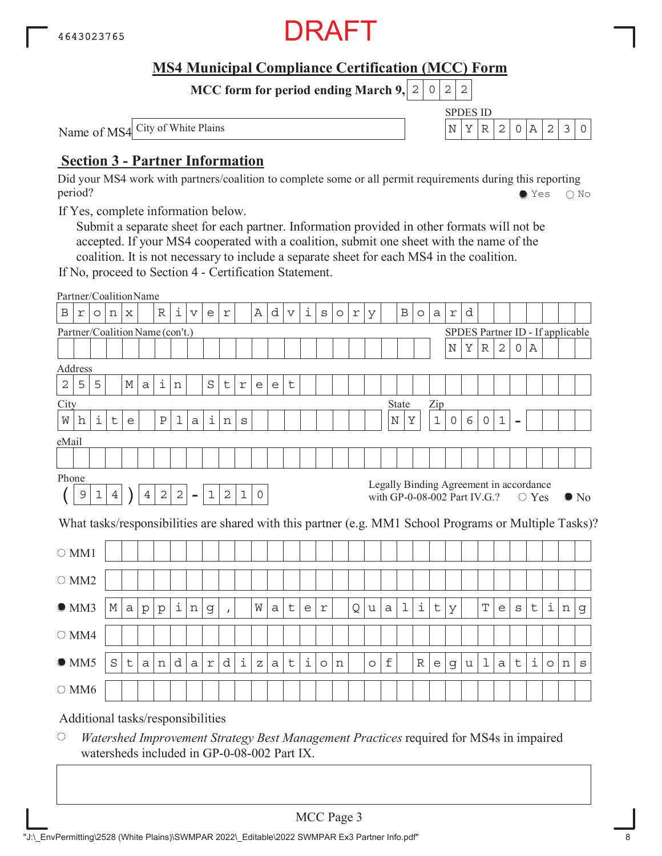

SPDES ID

 $N|Y|R|2|0|A|2|3|0$ 

**MCC form for period ending March 9, 2 0 2 2** 

Name of MS4 City of White Plains

### **Section 3 - Partner Information**

Did your MS4 work with partners/coalition to complete some or all permit requirements during this reporting period? Yes No

If Yes, complete information below.

Submit a separate sheet for each partner. Information provided in other formats will not be accepted. If your MS4 cooperated with a coalition, submit one sheet with the name of the coalition. It is not necessary to include a separate sheet for each MS4 in the coalition.

If No, proceed to Section 4 - Certification Statement.

|                | Partner/CoalitionName           |         |         |   |              |             |            |                                   |                    |              |             |              |   |                 |   |         |                     |   |         |         |                              |         |             |             |   |             |              |                |                                                           |                     |   |                                                                                                        |
|----------------|---------------------------------|---------|---------|---|--------------|-------------|------------|-----------------------------------|--------------------|--------------|-------------|--------------|---|-----------------|---|---------|---------------------|---|---------|---------|------------------------------|---------|-------------|-------------|---|-------------|--------------|----------------|-----------------------------------------------------------|---------------------|---|--------------------------------------------------------------------------------------------------------|
| $\, {\bf B}$   | r                               | $\circ$ | n       | X |              | $\mathbb R$ | i          | $\triangledown$                   | e                  | r            |             | Α            | d | $\triangledown$ | i | $\rm s$ | $\circlearrowright$ | r | У       |         | $\, {\bf B}$                 | $\circ$ | a           | $\Upsilon$  | d |             |              |                |                                                           |                     |   |                                                                                                        |
|                | Partner/Coalition Name (con't.) |         |         |   |              |             |            |                                   |                    |              |             |              |   |                 |   |         |                     |   |         |         |                              |         |             |             |   |             |              |                | SPDES Partner ID - If applicable                          |                     |   |                                                                                                        |
|                |                                 |         |         |   |              |             |            |                                   |                    |              |             |              |   |                 |   |         |                     |   |         |         |                              |         |             | $\mathbb N$ | Υ | $\mathbb R$ | $\mathbf{2}$ | 0              | Α                                                         |                     |   |                                                                                                        |
| Address        |                                 |         |         |   |              |             |            |                                   |                    |              |             |              |   |                 |   |         |                     |   |         |         |                              |         |             |             |   |             |              |                |                                                           |                     |   |                                                                                                        |
| $\mathbf 2$    | 5                               | 5       |         | М | a            | i           | n          |                                   | $\rm S$            | t            | $\mathbf r$ | e            | e | t               |   |         |                     |   |         |         |                              |         |             |             |   |             |              |                |                                                           |                     |   |                                                                                                        |
| City           |                                 |         |         |   |              |             |            |                                   |                    |              |             |              |   |                 |   |         |                     |   |         |         | State                        |         | Zip         |             |   |             |              |                |                                                           |                     |   |                                                                                                        |
| W              | h                               | i       | t       | e |              | Ρ           | 1          | a                                 | $\dot{\mathtt{l}}$ | n            | S           |              |   |                 |   |         |                     |   |         | $\rm N$ | Υ                            |         | $\mathbf 1$ | 0           | 6 | 0           | $\mathbf{1}$ | $\blacksquare$ |                                                           |                     |   |                                                                                                        |
| eMail          |                                 |         |         |   |              |             |            |                                   |                    |              |             |              |   |                 |   |         |                     |   |         |         |                              |         |             |             |   |             |              |                |                                                           |                     |   |                                                                                                        |
|                |                                 |         |         |   |              |             |            |                                   |                    |              |             |              |   |                 |   |         |                     |   |         |         |                              |         |             |             |   |             |              |                |                                                           |                     |   |                                                                                                        |
| Phone          |                                 |         |         |   |              |             |            |                                   |                    |              |             |              |   |                 |   |         |                     |   |         |         |                              |         |             |             |   |             |              |                |                                                           |                     |   |                                                                                                        |
|                | $\overline{9}$                  | 1       | 4       |   | 4            | $\sqrt{2}$  | $\sqrt{2}$ | $\blacksquare$                    | $1\,$              | $\sqrt{2}$   | $\mathbf 1$ | $\mathsf{O}$ |   |                 |   |         |                     |   |         |         | with GP-0-08-002 Part IV.G.? |         |             |             |   |             |              |                | Legally Binding Agreement in accordance<br>$\bigcirc$ Yes |                     |   | $\bullet$ No                                                                                           |
|                |                                 |         |         |   |              |             |            |                                   |                    |              |             |              |   |                 |   |         |                     |   |         |         |                              |         |             |             |   |             |              |                |                                                           |                     |   | What tasks/responsibilities are shared with this partner (e.g. MM1 School Programs or Multiple Tasks)? |
|                | $\bigcirc$ MM1                  |         |         |   |              |             |            |                                   |                    |              |             |              |   |                 |   |         |                     |   |         |         |                              |         |             |             |   |             |              |                |                                                           |                     |   |                                                                                                        |
|                | $\circ$ MM2                     |         |         |   |              |             |            |                                   |                    |              |             |              |   |                 |   |         |                     |   |         |         |                              |         |             |             |   |             |              |                |                                                           |                     |   |                                                                                                        |
|                | OMM3                            |         | М       | а | $\mathbf{p}$ | $\rm p$     | i          | n                                 | g                  | $\mathbf{r}$ |             | W            | a | t               | e | r       |                     | Q | u       | a       | 1                            | i       | t           | У           |   | Т           | e            | S              | t                                                         | i                   | n | $\mathbf g$                                                                                            |
| $\bigcirc$ MM4 |                                 |         |         |   |              |             |            |                                   |                    |              |             |              |   |                 |   |         |                     |   |         |         |                              |         |             |             |   |             |              |                |                                                           |                     |   |                                                                                                        |
|                | OMM5                            |         | $\rm S$ | t | a            | n           | d          | $\rm{a}$                          | r                  | d            | i           | $\rm{Z}$     | a | t               | i | $\circ$ | n                   |   | $\circ$ | f       |                              | R       | e           | g           | u | 1           | a            | t              | i                                                         | $\circlearrowright$ | n | S                                                                                                      |
| $\circ$ MM6    |                                 |         |         |   |              |             |            |                                   |                    |              |             |              |   |                 |   |         |                     |   |         |         |                              |         |             |             |   |             |              |                |                                                           |                     |   |                                                                                                        |
|                |                                 |         |         |   |              |             |            | Additional tasks/responsibilities |                    |              |             |              |   |                 |   |         |                     |   |         |         |                              |         |             |             |   |             |              |                |                                                           |                     |   |                                                                                                        |

 $\bigcirc$ *Watershed Improvement Strategy Best Management Practices* required for MS4s in impaired watersheds included in GP-0-08-002 Part IX.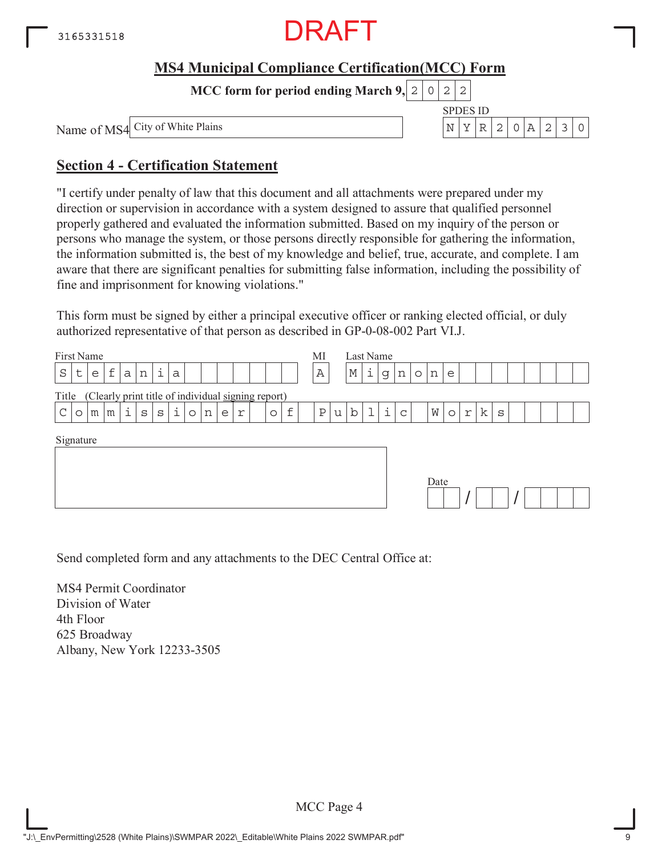

**MCC form for period ending March 9,**  $0|2|2$ 

Name of MS4

SPDES ID City of White Plains  $N \mid Y \mid R \mid 2 \mid 0 \mid A \mid 2 \mid 3 \mid 0$ 

## **Section 4 - Certification Statement**

"I certify under penalty of law that this document and all attachments were prepared under my direction or supervision in accordance with a system designed to assure that qualified personnel properly gathered and evaluated the information submitted. Based on my inquiry of the person or persons who manage the system, or those persons directly responsible for gathering the information, the information submitted is, the best of my knowledge and belief, true, accurate, and complete. I am aware that there are significant penalties for submitting false information, including the possibility of fine and imprisonment for knowing violations."

This form must be signed by either a principal executive officer or ranking elected official, or duly authorized representative of that person as described in GP-0-08-002 Part VI.J.

| First Name   |         |   |   |              |             |              |   |         |   |   |                                                    |         |   | MI           |   | Last Name   |   |   |   |         |      |         |   |   |   |  |  |  |
|--------------|---------|---|---|--------------|-------------|--------------|---|---------|---|---|----------------------------------------------------|---------|---|--------------|---|-------------|---|---|---|---------|------|---------|---|---|---|--|--|--|
| $\rm S$      | $\sf t$ | e | f | $\mathsf{a}$ | $\mathbf n$ | i            | a |         |   |   |                                                    |         |   | Α            |   | $\mathbb M$ | i | g | n | $\circ$ | n    | e       |   |   |   |  |  |  |
| Title        |         |   |   |              |             |              |   |         |   |   | (Clearly print title of individual signing report) |         |   |              |   |             |   |   |   |         |      |         |   |   |   |  |  |  |
| $\mathsf{C}$ | $\circ$ | m | m | i            | S           | $\mathtt{s}$ | i | $\circ$ | n | e | r                                                  | $\circ$ | f | $\, {\bf P}$ | u | b           | ı | i | C |         | M    | $\circ$ | r | k | S |  |  |  |
| Signature    |         |   |   |              |             |              |   |         |   |   |                                                    |         |   |              |   |             |   |   |   |         | Date |         |   |   |   |  |  |  |

Send completed form and any attachments to the DEC Central Office at:

MS4 Permit Coordinator Division of Water 4th Floor 625 Broadway Albany, New York 12233-3505

MCC Page 4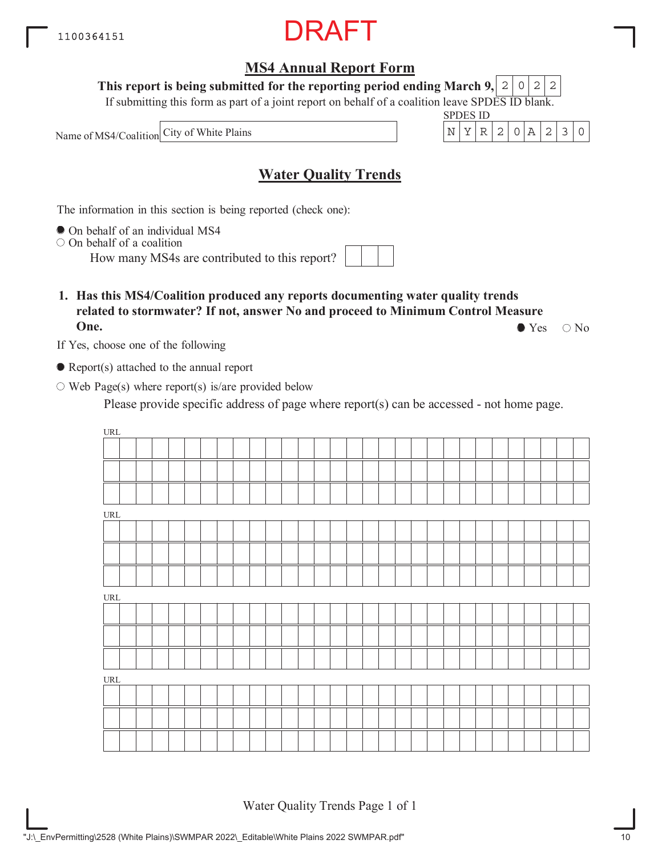### **MS4 Annual Report Form**

**This report is being submitted for the reporting period ending March 9,**  $2|0|2|2$ 

If submitting this form as part of a joint report on behalf of a coalition leave SPDES ID blank.

Name of MS4/Coalition City of White Plains  $N = \begin{bmatrix} N & Y & R & 2 & 0 & A & 2 & 3 & 0 \\ N & N & N & N & N & N & N \end{bmatrix}$ 



### **Water Quality Trends**

The information in this section is being reported (check one):

On behalf of an individual MS4

 $\circ$  On behalf of a coalition

How many MS4s are contributed to this report?

**1. Has this MS4/Coalition produced any reports documenting water quality trends related to stormwater? If not, answer No and proceed to Minimum Control Measure One.**  $\bullet$  Yes  $\circ$  No

If Yes, choose one of the following

● Report(s) attached to the annual report

 $\circ$  Web Page(s) where report(s) is/are provided below

Please provide specific address of page where report(s) can be accessed - not home page.

| $\ensuremath{\mathsf{URL}}\xspace$ |  |  |  |  |  |  |  |  |  |  |  |  |  |  |  |
|------------------------------------|--|--|--|--|--|--|--|--|--|--|--|--|--|--|--|
|                                    |  |  |  |  |  |  |  |  |  |  |  |  |  |  |  |
|                                    |  |  |  |  |  |  |  |  |  |  |  |  |  |  |  |
|                                    |  |  |  |  |  |  |  |  |  |  |  |  |  |  |  |
| $\ensuremath{\mathsf{URL}}\xspace$ |  |  |  |  |  |  |  |  |  |  |  |  |  |  |  |
|                                    |  |  |  |  |  |  |  |  |  |  |  |  |  |  |  |
|                                    |  |  |  |  |  |  |  |  |  |  |  |  |  |  |  |
|                                    |  |  |  |  |  |  |  |  |  |  |  |  |  |  |  |
| $\ensuremath{\mathsf{URL}}\xspace$ |  |  |  |  |  |  |  |  |  |  |  |  |  |  |  |
|                                    |  |  |  |  |  |  |  |  |  |  |  |  |  |  |  |
|                                    |  |  |  |  |  |  |  |  |  |  |  |  |  |  |  |
|                                    |  |  |  |  |  |  |  |  |  |  |  |  |  |  |  |
| $\ensuremath{\mathsf{URL}}\xspace$ |  |  |  |  |  |  |  |  |  |  |  |  |  |  |  |
|                                    |  |  |  |  |  |  |  |  |  |  |  |  |  |  |  |
|                                    |  |  |  |  |  |  |  |  |  |  |  |  |  |  |  |
|                                    |  |  |  |  |  |  |  |  |  |  |  |  |  |  |  |

Water Quality Trends Page 1 of 1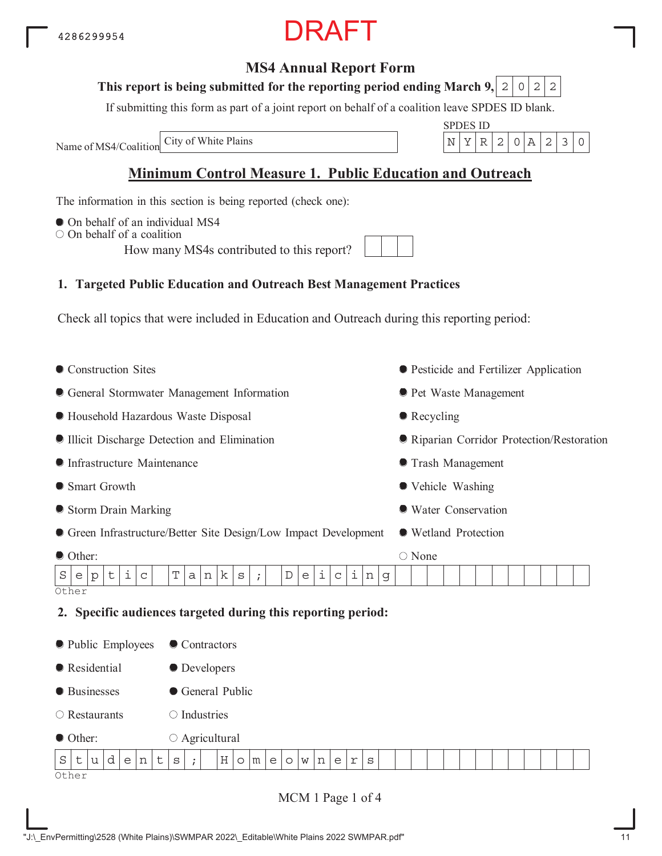### **MS4 Annual Report Form**

#### This report is being submitted for the reporting period ending March 9,  $\mid$  2  $\mid$  0  $\mid$  2  $\mid$  2

If submitting this form as part of a joint report on behalf of a coalition leave SPDES ID blank.

Name of MS4/Coalition City of White Plains

### **Minimum Control Measure 1. Public Education and Outreach**

The information in this section is being reported (check one):

- $\bullet$  On behalf of an individual MS4
- $\bigcirc$  On behalf of a coalition

How many MS4s contributed to this report?

#### **1. Targeted Public Education and Outreach Best Management Practices**

Check all topics that were included in Education and Outreach during this reporting period:

• Construction Sites General Stormwater Management Information Household Hazardous Waste Disposal Illicit Discharge Detection and Elimination Infrastructure Maintenance ● Smart Growth Storm Drain Marking Green Infrastructure/Better Site Design/Low Impact Development Other: Pesticide and Fertilizer Application **• Pet Waste Management** • Recycling Riparian Corridor Protection/Restoration Trash Management Vehicle Washing Water Conservation Wetland Protection ○ None **Other 2. Specific audiences targeted during this reporting period:** • Public Employees **Residential** ● Businesses Restaurants ● Other: • Contractors **O** Developers General Public  $\bigcirc$  Industries  $\circ$  Agricultural Other  $S$ e $|p|t|$ i $|c|$   $|T|a|n|k|s|$ ;  $|D|e|i|c|i|n|g$  $S|t|u|d|e|n|t|s|;$   $|H|o|m|e|o|w|n|e|r|s$ 

MCM 1 Page 1 of 4



| $\mathbb{C}[\mathsf{P}]$ ). | ES ID |    |  |  |  |
|-----------------------------|-------|----|--|--|--|
|                             |       | 2. |  |  |  |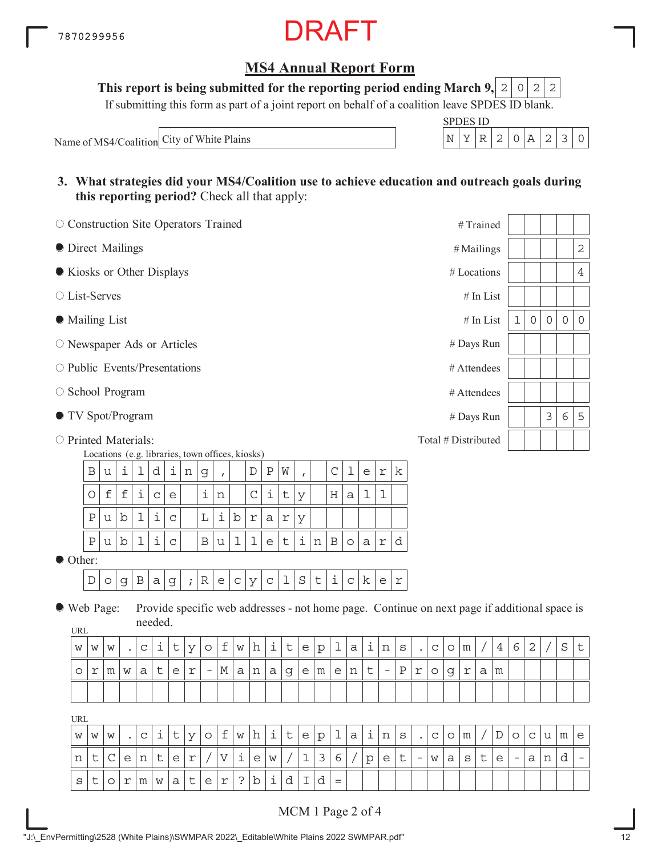### **MS4 Annual Report Form**

**This report is being submitted for the reporting period ending March 9,**  $0|2|2$ 

If submitting this form as part of a joint report on behalf of a coalition leave SPDES ID blank.

Name of MS4/Coalition City of White Plains  $N \begin{bmatrix} N & Y & R & 2 & 0 & A & 2 & 3 & 0 \end{bmatrix}$ 

| SPDES ID |    |  |  |  |
|----------|----|--|--|--|
|          | ., |  |  |  |

**3. What strategies did your MS4/Coalition use to achieve education and outreach goals during this reporting period?** Check all that apply:

| O Construction Site Operators Trained |                                                                |             |             |             |                    |              |   |             |   |                                                  |            |         |              |   |  |               |   |   |            |   | #Trained            |             |                     |             |             |              |
|---------------------------------------|----------------------------------------------------------------|-------------|-------------|-------------|--------------------|--------------|---|-------------|---|--------------------------------------------------|------------|---------|--------------|---|--|---------------|---|---|------------|---|---------------------|-------------|---------------------|-------------|-------------|--------------|
|                                       | • Direct Mailings<br>Kiosks or Other Displays<br>○ List-Serves |             |             |             |                    |              |   |             |   |                                                  |            |         |              |   |  | $#$ Mailings  |   |   |            |   | $\mathbf 2$         |             |                     |             |             |              |
|                                       |                                                                |             |             |             |                    |              |   |             |   |                                                  |            |         |              |   |  |               |   |   |            |   | # Locations         |             |                     |             |             | 4            |
|                                       |                                                                |             |             |             |                    |              |   |             |   |                                                  |            |         |              |   |  |               |   |   |            |   | $#$ In List         |             |                     |             |             |              |
| • Mailing List                        |                                                                |             |             |             |                    |              |   |             |   |                                                  |            |         |              |   |  |               |   |   |            |   | $#$ In List         | $\mathbf 1$ | $\mathsf{O}\xspace$ | $\mathbf 0$ | $\mathbf 0$ | $\mathsf{O}$ |
| $\circ$ Newspaper Ads or Articles     |                                                                |             |             |             |                    |              |   |             |   |                                                  |            |         |              |   |  |               |   |   |            |   | # Days Run          |             |                     |             |             |              |
| $\circ$ Public Events/Presentations   |                                                                |             |             |             |                    |              |   |             |   |                                                  |            |         |              |   |  |               |   |   |            |   | # Attendees         |             |                     |             |             |              |
| $\circ$ School Program                |                                                                |             |             |             |                    |              |   |             |   |                                                  |            |         |              |   |  |               |   |   |            |   | # Attendees         |             |                     |             |             |              |
| ● TV Spot/Program                     |                                                                |             |             |             |                    |              |   |             |   |                                                  |            |         |              |   |  |               |   |   |            |   | # Days Run          |             |                     | 3           | 6           | 5            |
| $\circ$ Printed Materials:            |                                                                |             |             |             |                    |              |   |             |   | Locations (e.g. libraries, town offices, kiosks) |            |         |              |   |  |               |   |   |            |   | Total # Distributed |             |                     |             |             |              |
|                                       | $\, {\bf B}$                                                   | u           | i           | 1           | d                  | i            | n | g           |   |                                                  | D          | $\rm P$ | W            |   |  | $\mathcal{C}$ | 1 | e | $\Upsilon$ | k |                     |             |                     |             |             |              |
|                                       | $\bigcirc$                                                     | $\mathbf f$ | $\mathbf f$ | i           | $\mathsf{C}$       | e            |   | i           | n |                                                  | C          | i       | $\mathsf t$  | У |  | $\rm H$       | a | 1 | ı          |   |                     |             |                     |             |             |              |
|                                       | $\, {\bf P}$                                                   | u           | $\mathbf b$ | $\mathbf 1$ | $\dot{\mathtt{l}}$ | $\mathsf{C}$ |   | $\mathbb L$ | i | $\mathbf b$                                      | $\Upsilon$ | a       | $\mathtt{r}$ | У |  |               |   |   |            |   |                     |             |                     |             |             |              |

 $\bullet$  Other:

 $D$  | o | g | B | a | g | ; | R | e | c | y | c | 1 | S | t | i | c | k | e | r

 $P|u|b|1|i|c|$  |B|u|l|l|e|t|i|n|B|o|a|r|d

Web Page: **UPL** Provide specific web addresses - not home page. Continue on next page if additional space is needed.

| <b>UIVE</b> |   |   |           |   |          |   |        |                          |                                |   |   |          |   |   |             |   |   |        |                          |   |                     |                       |             |                    |   |   |   |             |             |   |
|-------------|---|---|-----------|---|----------|---|--------|--------------------------|--------------------------------|---|---|----------|---|---|-------------|---|---|--------|--------------------------|---|---------------------|-----------------------|-------------|--------------------|---|---|---|-------------|-------------|---|
| W           | W | W | $\bullet$ | С | <b>+</b> | ◡ | V      | O                        | $\overline{\phantom{0}}$<br>t, | W | h | <b>+</b> | ັ | е | $\sim$<br>P | ÷ | а | ┷      | n                        | S | $\bullet$           | $\sim$<br>$\check{ }$ | ◡           | m                  |   | 4 | 6 | $\sim$<br>∠ | $\sim$<br>ٮ | ັ |
| C           | r | m | W         | a | -<br>◡   | е | $\sim$ | $\overline{\phantom{0}}$ | М                              | а | n | a        | g | e | m           | e | n | ÷<br>◡ | $\overline{\phantom{0}}$ | P | $\sim$<br><b>__</b> | U                     | $\sim$<br>У | $\sim$<br><b>_</b> | a | m |   |             |             |   |
|             |   |   |           |   |          |   |        |                          |                                |   |   |          |   |   |             |   |   |        |                          |   |                     |                       |             |                    |   |   |   |             |             |   |

URL

| W I | W | W                   |   | $\sim$ | t   | v   | $\circ$ |                            | $\vert w \vert$ |    |            | h i t | e p | 1      | $^{\circ}$   a   i $_{\perp}$ |                                   | $\pm \lfloor n \rfloor$ s $\lfloor$ | C C |     | m           |   |     | $\circ$ | $\mathsf{C}$ |    | m | e |
|-----|---|---------------------|---|--------|-----|-----|---------|----------------------------|-----------------|----|------------|-------|-----|--------|-------------------------------|-----------------------------------|-------------------------------------|-----|-----|-------------|---|-----|---------|--------------|----|---|---|
| n   |   | ◡                   | e | n      |     | e r |         | $/$ $ V $ $\downarrow$ $ $ |                 | ∣e | $\sqrt{w}$ |       |     | 136/ p |                               | $\mathsf{e}% _{t}\left( t\right)$ | t   -                               | W   | a l | $\mathbf s$ | ັ | e l | $-$     | а            | ᆠᆂ |   |   |
| S   |   | $ O $ r $ m $ w $ $ |   |        | a I |     | e       | $\mathbf r$                |                 | b  |            |       |     |        |                               |                                   |                                     |     |     |             |   |     |         |              |    |   |   |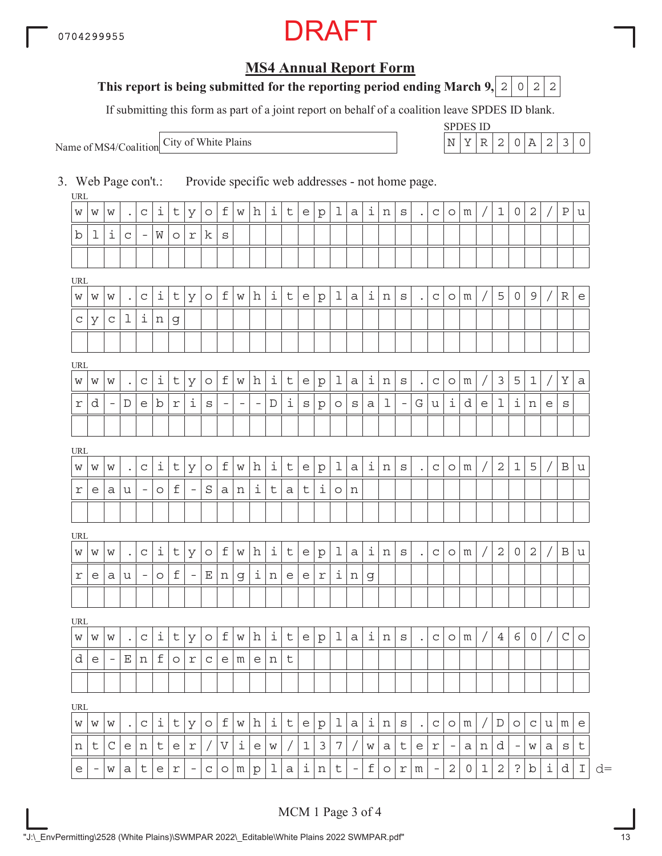### **MS4 Annual Report Form**

### **This report is being submitted for the reporting period ending March 9, 2 0 2 2**

If submitting this form as part of a joint report on behalf of a coalition leave SPDES ID blank.

Name of MS4/Coalition

SPDES ID City of White Plains  $\vert N \vert Y \vert R \vert 2 \vert 0 \vert A \vert 2 \vert 3 \vert 0$ 

3. Web Page con't.: Provide specific web addresses - not home page.

| URL        |                          |                          |                |                   |         |             |                          |                     |                           |          |                          |             |   |             |              |             |                          |             |         |                           |           |                   |                          |              |             |                |                   |                |   |              |                                   |
|------------|--------------------------|--------------------------|----------------|-------------------|---------|-------------|--------------------------|---------------------|---------------------------|----------|--------------------------|-------------|---|-------------|--------------|-------------|--------------------------|-------------|---------|---------------------------|-----------|-------------------|--------------------------|--------------|-------------|----------------|-------------------|----------------|---|--------------|-----------------------------------|
| W          | W                        | W                        |                | $\mathtt{C}$      | i       | t           | У                        | $\circ$             | f                         | W        | h                        | i           | t | e           | $\mathbf{p}$ | 1           | a                        | i           | n       | $\rm s$                   | $\bullet$ | $\mathsf{C}$      | $\circ$                  | m            |             | $\mathbf{1}$   | 0                 | $\sqrt{2}$     |   | $\, {\bf P}$ | u                                 |
| b          | 1                        | i                        | C              | $\qquad \qquad -$ | W       | $\circ$     | r                        | k                   | S                         |          |                          |             |   |             |              |             |                          |             |         |                           |           |                   |                          |              |             |                |                   |                |   |              |                                   |
|            |                          |                          |                |                   |         |             |                          |                     |                           |          |                          |             |   |             |              |             |                          |             |         |                           |           |                   |                          |              |             |                |                   |                |   |              |                                   |
| URL        |                          |                          |                |                   |         |             |                          |                     |                           |          |                          |             |   |             |              |             |                          |             |         |                           |           |                   |                          |              |             |                |                   |                |   |              |                                   |
| W          | W                        | W                        |                | $\mathtt{C}$      | i       | t           | У                        | $\circ$             | f                         | W        | h                        | i           | t | e           | $\mathbf{p}$ | 1           | a                        | i           | n       | $\rm s$                   |           | $\mathsf{C}$      | $\circ$                  | m            |             | 5              | $\circ$           | $\mathsf 9$    |   | $\mathbb R$  | $\mathsf{e}% _{t}\left( t\right)$ |
| C          | У                        | C                        | 1              | i                 | n       | g           |                          |                     |                           |          |                          |             |   |             |              |             |                          |             |         |                           |           |                   |                          |              |             |                |                   |                |   |              |                                   |
|            |                          |                          |                |                   |         |             |                          |                     |                           |          |                          |             |   |             |              |             |                          |             |         |                           |           |                   |                          |              |             |                |                   |                |   |              |                                   |
| <b>URL</b> |                          |                          |                |                   |         |             |                          |                     |                           |          |                          |             |   |             |              |             |                          |             |         |                           |           |                   |                          |              |             |                |                   |                |   |              |                                   |
| W          | W                        | W                        |                | $\mathtt{C}$      | i       | t           | У                        | $\circlearrowright$ | f                         | W        | h                        | i           | t | e           | $\mathbf{p}$ | $\mathbf 1$ | a                        | i           | n       | $\rm s$                   | $\bullet$ | $\mathsf{C}$      | $\circ$                  | m            |             | $\mathcal{E}$  | 5                 | $\mathbf 1$    |   | Υ            | $\rm{a}$                          |
| r          | d                        | $\overline{\phantom{a}}$ | $\mathbb D$    | е                 | b       | r           | ı                        | S                   | $\overline{\phantom{m}}$  | $\equiv$ | $\overline{\phantom{a}}$ | $\mathbb D$ | i | S           | p            | $\circ$     | S                        | a           | 1       | $\overline{\phantom{a}}$  | G         | u                 | i                        | d            | e           | $\mathbf 1$    | i                 | n              | е | $\rm s$      |                                   |
|            |                          |                          |                |                   |         |             |                          |                     |                           |          |                          |             |   |             |              |             |                          |             |         |                           |           |                   |                          |              |             |                |                   |                |   |              |                                   |
| URL        |                          |                          |                |                   |         |             |                          |                     |                           |          |                          |             |   |             |              |             |                          |             |         |                           |           |                   |                          |              |             |                |                   |                |   |              |                                   |
| W          | W                        | W                        |                | $\mathsf C$       | i       | t           | У                        | $\circ$             | f                         | W        | h                        | i           | t | e           | $\mathbf{p}$ | ı           | a                        | i           | n       | $\rm s$                   |           | $\mathsf C$       | $\circ$                  | m            |             | $\sqrt{2}$     | $\mathbf{1}$      | 5              |   | $\, {\bf B}$ | u                                 |
| r          | е                        | а                        | u              | -                 | $\circ$ | $\mathbf f$ | $\overline{\phantom{a}}$ | S                   | a                         | n        | i                        | t           | a | t           | i            | $\circ$     | n                        |             |         |                           |           |                   |                          |              |             |                |                   |                |   |              |                                   |
|            |                          |                          |                |                   |         |             |                          |                     |                           |          |                          |             |   |             |              |             |                          |             |         |                           |           |                   |                          |              |             |                |                   |                |   |              |                                   |
|            |                          |                          |                |                   |         |             |                          |                     |                           |          |                          |             |   |             |              |             |                          |             |         |                           |           |                   |                          |              |             |                |                   |                |   |              |                                   |
| URL        |                          |                          |                |                   |         |             |                          |                     |                           |          |                          |             |   |             |              |             |                          |             |         |                           |           |                   |                          |              |             |                |                   |                |   |              |                                   |
| W          | W                        | W                        |                | $\mathtt{C}$      | i       | t           | У                        | $\circ$             | f                         | W        | h                        | i           | t | e           | $\mathbf{p}$ | $\mathbf 1$ | a                        | $\dot{1}$   | n       | $\rm s$                   |           | $\mathsf{C}$      | $\circ$                  | m            |             | $\overline{2}$ | 0                 | $\overline{2}$ |   | $\, {\bf B}$ | $\mathtt{u}$                      |
| r          | е                        | а                        | u              | $\equiv$          | $\circ$ | f           | $\overline{\phantom{a}}$ | Ε                   | n                         | g        | i                        | n           | e | e           | r            | i.          | n                        | g           |         |                           |           |                   |                          |              |             |                |                   |                |   |              |                                   |
|            |                          |                          |                |                   |         |             |                          |                     |                           |          |                          |             |   |             |              |             |                          |             |         |                           |           |                   |                          |              |             |                |                   |                |   |              |                                   |
| URL        |                          |                          |                |                   |         |             |                          |                     |                           |          |                          |             |   |             |              |             |                          |             |         |                           |           |                   |                          |              |             |                |                   |                |   |              |                                   |
| W          | W                        | W                        |                | С                 | i,      | t           | У                        | $\circ$             | f                         | W        | h                        | i           | t | e           | $\mathbf{p}$ | 1           | а                        | i           | n       | $\mathtt{s}$              |           | C                 | $\circ$                  | m            |             | $\overline{4}$ | 6                 | 0              |   | $\mathsf C$  | $\circ$                           |
| d          | e                        | $\qquad \qquad -$        | Ε              | n                 | f       | O           | r                        | С                   | e                         | m        | e                        | n           | t |             |              |             |                          |             |         |                           |           |                   |                          |              |             |                |                   |                |   |              |                                   |
|            |                          |                          |                |                   |         |             |                          |                     |                           |          |                          |             |   |             |              |             |                          |             |         |                           |           |                   |                          |              |             |                |                   |                |   |              |                                   |
| URL        |                          |                          |                |                   |         |             |                          |                     |                           |          |                          |             |   |             |              |             |                          |             |         |                           |           |                   |                          |              |             |                |                   |                |   |              |                                   |
| W          | W                        | W                        | $\bullet$      | $\mathtt{C}$      | i       | t           | У                        | O                   | $\mathbf f$               | W        | h                        | i           | t | e           | $\mathbf{p}$ | ı           | а                        | i           | n       | $\rm s$                   | $\bullet$ | $\mathsf C$       | $\circ$                  | m            |             | $\mathbb D$    | $\circ$           | $\mathsf C$    | u | m            | e                                 |
| n          | t                        | C                        | e <sub>1</sub> | n                 | t       | e           | r                        | Τ                   | $\boldsymbol{\mathrm{V}}$ | i        | e                        | W           |   | $\mathbf 1$ | 3            | 7           |                          | W           | а       | t                         | е         | $\Upsilon$        | $\overline{\phantom{a}}$ | а            | n           | d              | $\qquad \qquad -$ | W              | а | S            | t                                 |
| e          | $\overline{\phantom{a}}$ | W                        | a              | t                 | e       | $\Upsilon$  | $\overline{\phantom{a}}$ | $\mathsf C$         | $\circ$                   | m        | p                        | 1           | a | i           | n            | t           | $\overline{\phantom{a}}$ | $\mathbf f$ | $\circ$ | $\ensuremath{\mathbf{r}}$ | m         | $\qquad \qquad -$ | $\mathbf 2$              | $\mathsf{O}$ | $\mathbf 1$ | $\mathbf{2}$   | $\mathbf{S}$      | b              | i | d            | $\mathbbm{I}$                     |

 $\lfloor d \rfloor$  d=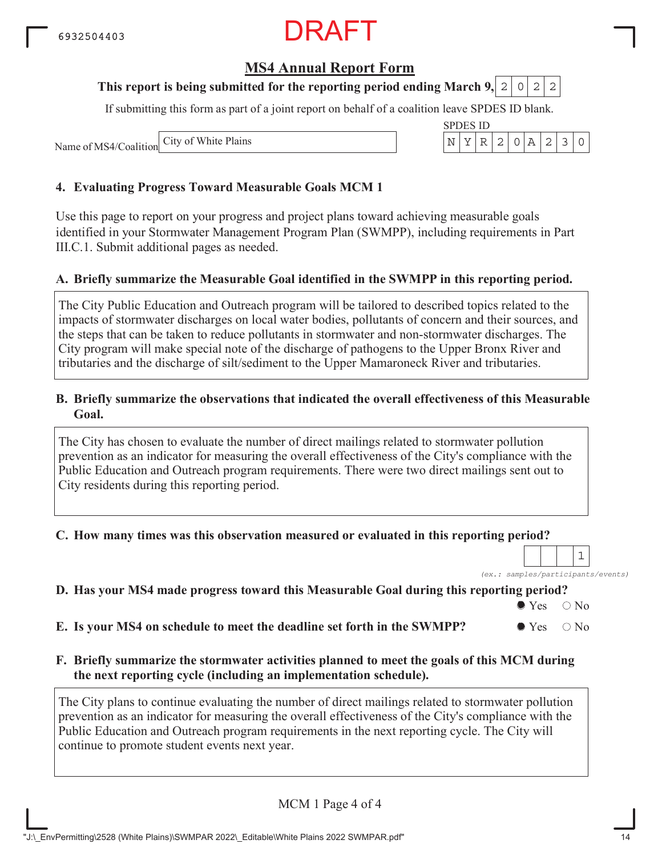### **MS4 Annual Report Form**

#### **This report is being submitted for the reporting period ending March 9, 2 0 2 2**

If submitting this form as part of a joint report on behalf of a coalition leave SPDES ID blank.

Name of MS4/Coalition

#### **4. Evaluating Progress Toward Measurable Goals MCM 1**

Use this page to report on your progress and project plans toward achieving measurable goals identified in your Stormwater Management Program Plan (SWMPP), including requirements in Part III.C.1. Submit additional pages as needed.

#### **A. Briefly summarize the Measurable Goal identified in the SWMPP in this reporting period.**

The City Public Education and Outreach program will be tailored to described topics related to the impacts of stormwater discharges on local water bodies, pollutants of concern and their sources, and the steps that can be taken to reduce pollutants in stormwater and non-stormwater discharges. The City program will make special note of the discharge of pathogens to the Upper Bronx River and tributaries and the discharge of silt/sediment to the Upper Mamaroneck River and tributaries.

#### **B. Briefly summarize the observations that indicated the overall effectiveness of this Measurable Goal.**

The City has chosen to evaluate the number of direct mailings related to stormwater pollution prevention as an indicator for measuring the overall effectiveness of the City's compliance with the Public Education and Outreach program requirements. There were two direct mailings sent out to City residents during this reporting period.

#### **C. How many times was this observation measured or evaluated in this reporting period?**

*(ex.: samples/participants/events)* 1

#### **D. Has your MS4 made progress toward this Measurable Goal during this reporting period?**

 $\bullet$  Yes  $\circ$  No

**E.** Is your MS4 on schedule to meet the deadline set forth in the SWMPP?  $\bullet$  Yes  $\circ$  No

#### **F. Briefly summarize the stormwater activities planned to meet the goals of this MCM during the next reporting cycle (including an implementation schedule).**

The City plans to continue evaluating the number of direct mailings related to stormwater pollution prevention as an indicator for measuring the overall effectiveness of the City's compliance with the Public Education and Outreach program requirements in the next reporting cycle. The City will continue to promote student events next year.

MCM 1 Page 4 of 4

"J:\\_EnvPermitting\2528 (White Plains)\SWMPAR 2022\\_Editable\White Plains 2022 SWMPAR.pdf" 14

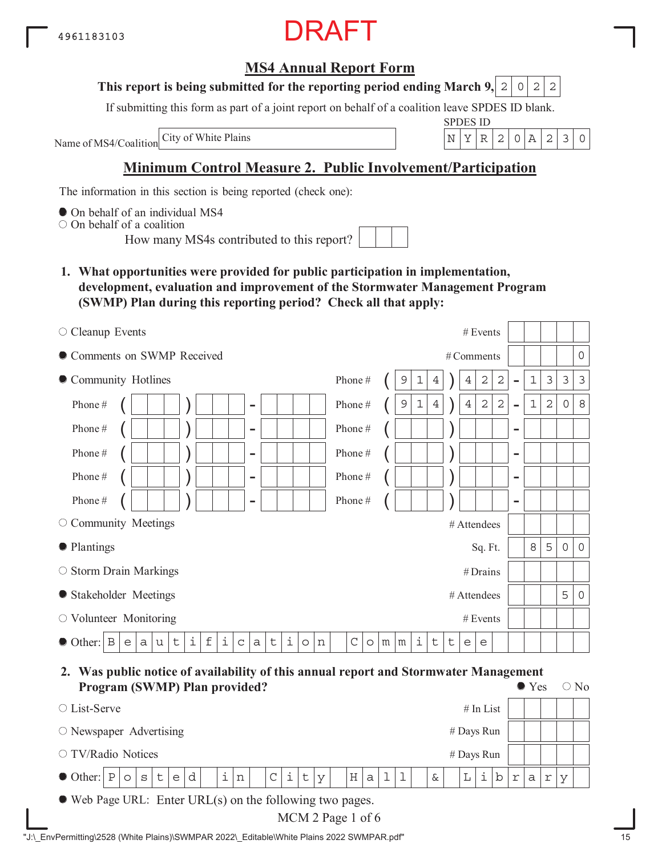### **MS4 Annual Report Form**

#### **This report is being submitted for the reporting period ending March 9,**  $2|0|2|2$

If submitting this form as part of a joint report on behalf of a coalition leave SPDES ID blank.

Name of MS4/Coalition

SPDES ID City of White Plains N YR 2 0A 230

### **Minimum Control Measure 2. Public Involvement/Participation**

The information in this section is being reported (check one):

 $\bullet$  On behalf of an individual MS4

On behalf of a coalition

How many MS4s contributed to this report?

**1. What opportunities were provided for public participation in implementation, development, evaluation and improvement of the Stormwater Management Program (SWMP) Plan during this reporting period? Check all that apply:**

| $\circ$ Cleanup Events                                                                                                                                        | # Events                                                                                                                                                                      |
|---------------------------------------------------------------------------------------------------------------------------------------------------------------|-------------------------------------------------------------------------------------------------------------------------------------------------------------------------------|
| Comments on SWMP Received                                                                                                                                     | 0<br># Comments                                                                                                                                                               |
| • Community Hotlines                                                                                                                                          | 3<br>$\sqrt{2}$<br>3<br>$\mathcal{E}$<br>Phone#<br>2<br>$\mathbf{1}$<br>9<br>$\mathbf 1$<br>4<br>4<br>$\overline{\phantom{0}}$                                                |
| Phone#<br>$\overline{\phantom{0}}$                                                                                                                            | $\overline{2}$<br>$\,8\,$<br>$\sqrt{2}$<br>$\sqrt{2}$<br>Phone#<br>$\sqrt{4}$<br>$\mathbf 1$<br>$\mathbf 0$<br>9<br>$\mathbf 1$<br>$\overline{4}$<br>$\overline{\phantom{a}}$ |
| Phone#<br>$\overline{\phantom{0}}$                                                                                                                            | Phone#<br>$\overline{\phantom{m}}$                                                                                                                                            |
| Phone#<br>$\overline{\phantom{0}}$                                                                                                                            | Phone#<br>$\overline{\phantom{m}}$                                                                                                                                            |
| Phone#<br>$\overline{\phantom{0}}$                                                                                                                            | Phone#<br>$\overline{\phantom{m}}$                                                                                                                                            |
| Phone#<br>-                                                                                                                                                   | Phone#<br>$\overline{\phantom{m}}$                                                                                                                                            |
| O Community Meetings                                                                                                                                          | # Attendees                                                                                                                                                                   |
| • Plantings                                                                                                                                                   | 5<br>8<br>$\mathbf 0$<br>$\circ$<br>Sq. Ft.                                                                                                                                   |
| $\circ$ Storm Drain Markings                                                                                                                                  | #Drains                                                                                                                                                                       |
| • Stakeholder Meetings                                                                                                                                        | 5<br>$\circ$<br># Attendees                                                                                                                                                   |
| $\circlearrowright$ Volunteer Monitoring                                                                                                                      | # Events                                                                                                                                                                      |
| i<br>i<br>$\dot{1}$<br>$\mathbf f$<br>$\mathsf t$<br>$\mathbf B$<br>$\mathsf t$<br>$\mathbf C$<br>$\bullet$ Other:<br>$\rm{a}$<br>a<br>u<br>n<br>e<br>$\circ$ | i<br>$\mathsf{C}$<br>t<br>t<br>$m \mid m$<br>$\circ$<br>e<br>e                                                                                                                |

#### **2. Was public notice of availability of this annual report and Stormwater Management Program (SWMP) Plan provided?**  $\bullet$  Yes  $\circ$  No

| Trogram (S WIVII) Tran provided:                                                                                                                                                                                                               |            |              |                      | $\cup$ 190 |
|------------------------------------------------------------------------------------------------------------------------------------------------------------------------------------------------------------------------------------------------|------------|--------------|----------------------|------------|
| $#$ In List<br>$\circ$ List-Serve                                                                                                                                                                                                              |            |              |                      |            |
| $\circ$ Newspaper Advertising<br># Days Run                                                                                                                                                                                                    |            |              |                      |            |
| $\circ$ TV/Radio Notices<br># Days Run                                                                                                                                                                                                         |            |              |                      |            |
| $\bullet$ Other: $\lvert P \rvert \circ \lvert s \rvert$ $\lfloor \cdot \rfloor$<br>$\pm$  <br>$\, {\rm n}$<br>$\mathbf{d}$<br>i.<br>$\mathbf{1}$<br>$\perp$<br>$\overline{V}$<br>$\epsilon$<br>b<br>H a<br>$\mathsf{C}$<br>t<br>L<br>$\delta$ | $\Upsilon$ | $\mathsf{a}$ | r<br>$\triangledown$ |            |
| $\bullet$ Web Page URL: Enter URL(s) on the following two pages.                                                                                                                                                                               |            |              |                      |            |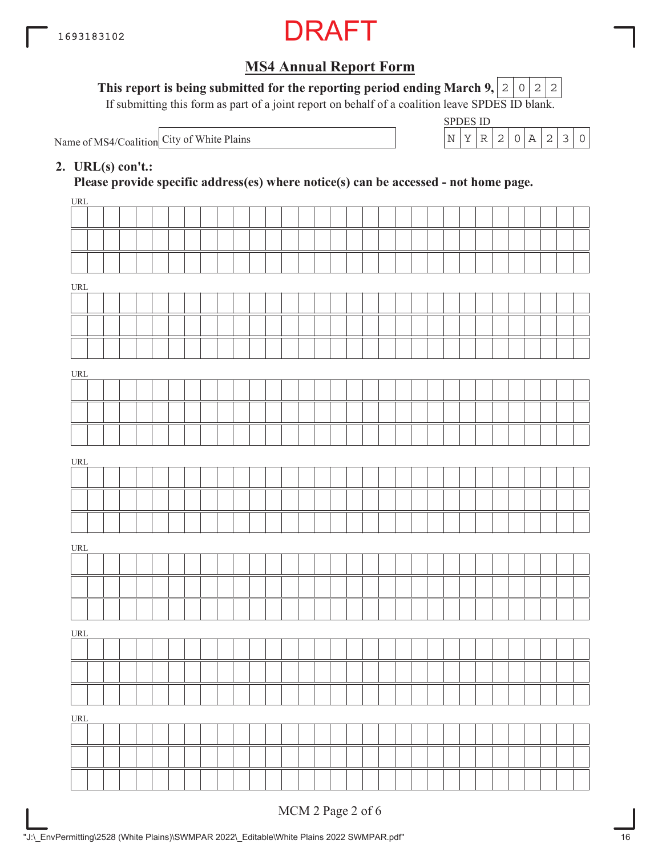

This report is being submitted for the reporting period ending March 9,  $\mid$  2  $\mid$  0  $\mid$  2  $\mid$  2

If submitting this form as part of a joint report on behalf of a coalition leave SPDES ID blank.

Name of MS4/Coalition City of White Plains  $N = \begin{bmatrix} N & Y & R & 2 & 0 & A & 2 & 3 & 0 \\ N & N & N & N & N & N & N \end{bmatrix}$ 

| SPDES ID |  |  |  |  |
|----------|--|--|--|--|
|          |  |  |  |  |

#### **2. URL(s) con't.:**

**Please provide specific address(es) where notice(s) can be accessed - not home page.**

| URL                                |              |  |  |  |  |  |  |  |  |  |  |  |  |  |  |  |
|------------------------------------|--------------|--|--|--|--|--|--|--|--|--|--|--|--|--|--|--|
|                                    |              |  |  |  |  |  |  |  |  |  |  |  |  |  |  |  |
|                                    |              |  |  |  |  |  |  |  |  |  |  |  |  |  |  |  |
|                                    |              |  |  |  |  |  |  |  |  |  |  |  |  |  |  |  |
| $\ensuremath{\mathsf{URL}}\xspace$ |              |  |  |  |  |  |  |  |  |  |  |  |  |  |  |  |
|                                    |              |  |  |  |  |  |  |  |  |  |  |  |  |  |  |  |
|                                    |              |  |  |  |  |  |  |  |  |  |  |  |  |  |  |  |
|                                    |              |  |  |  |  |  |  |  |  |  |  |  |  |  |  |  |
|                                    |              |  |  |  |  |  |  |  |  |  |  |  |  |  |  |  |
| URL                                |              |  |  |  |  |  |  |  |  |  |  |  |  |  |  |  |
|                                    |              |  |  |  |  |  |  |  |  |  |  |  |  |  |  |  |
|                                    |              |  |  |  |  |  |  |  |  |  |  |  |  |  |  |  |
|                                    |              |  |  |  |  |  |  |  |  |  |  |  |  |  |  |  |
| URL                                |              |  |  |  |  |  |  |  |  |  |  |  |  |  |  |  |
|                                    |              |  |  |  |  |  |  |  |  |  |  |  |  |  |  |  |
|                                    |              |  |  |  |  |  |  |  |  |  |  |  |  |  |  |  |
|                                    |              |  |  |  |  |  |  |  |  |  |  |  |  |  |  |  |
| URL                                |              |  |  |  |  |  |  |  |  |  |  |  |  |  |  |  |
|                                    |              |  |  |  |  |  |  |  |  |  |  |  |  |  |  |  |
|                                    |              |  |  |  |  |  |  |  |  |  |  |  |  |  |  |  |
|                                    |              |  |  |  |  |  |  |  |  |  |  |  |  |  |  |  |
| URL                                |              |  |  |  |  |  |  |  |  |  |  |  |  |  |  |  |
|                                    |              |  |  |  |  |  |  |  |  |  |  |  |  |  |  |  |
|                                    |              |  |  |  |  |  |  |  |  |  |  |  |  |  |  |  |
|                                    | $\mathbf{I}$ |  |  |  |  |  |  |  |  |  |  |  |  |  |  |  |
| URL                                |              |  |  |  |  |  |  |  |  |  |  |  |  |  |  |  |
|                                    |              |  |  |  |  |  |  |  |  |  |  |  |  |  |  |  |
|                                    |              |  |  |  |  |  |  |  |  |  |  |  |  |  |  |  |
|                                    |              |  |  |  |  |  |  |  |  |  |  |  |  |  |  |  |
|                                    |              |  |  |  |  |  |  |  |  |  |  |  |  |  |  |  |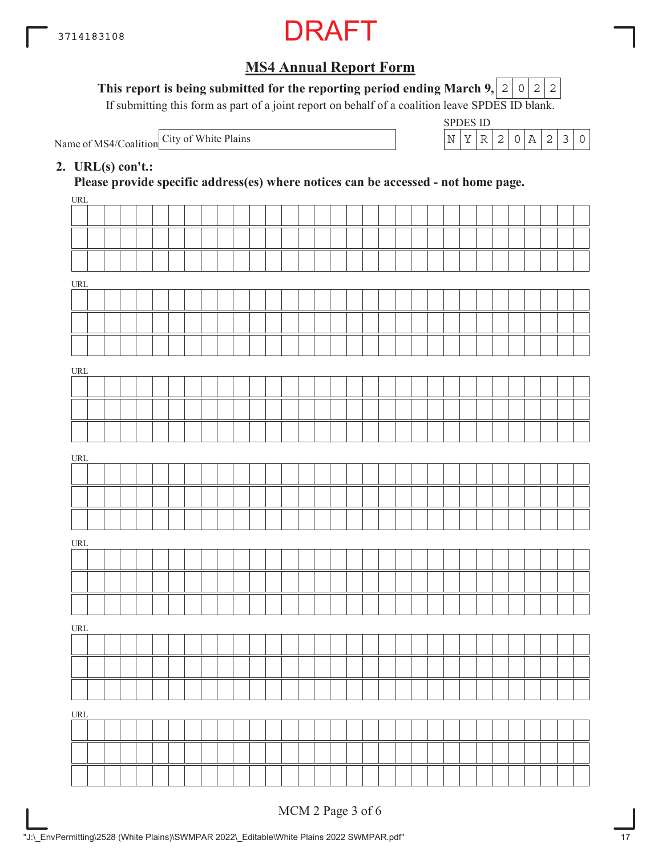

This report is being submitted for the reporting period ending March 9,  $|2|0|2|2$ 

If submitting this form as part of a joint report on behalf of a coalition leave SPDES ID blank.

Name of MS4/Coalition

SPDES ID City of White Plains  $\left| N \right| Y \left| R \right| 2 \left| 0 \right| A \left| 2 \right| 3 \left| 0 \right|$ 

#### **2. URL(s) con't.:**

**Please provide specific address(es) where notices can be accessed - not home page.**

| URL                              |  |  |  |  |  |  |  |  |  |  |  |  |  |  |  |  |
|----------------------------------|--|--|--|--|--|--|--|--|--|--|--|--|--|--|--|--|
|                                  |  |  |  |  |  |  |  |  |  |  |  |  |  |  |  |  |
|                                  |  |  |  |  |  |  |  |  |  |  |  |  |  |  |  |  |
|                                  |  |  |  |  |  |  |  |  |  |  |  |  |  |  |  |  |
| URL                              |  |  |  |  |  |  |  |  |  |  |  |  |  |  |  |  |
|                                  |  |  |  |  |  |  |  |  |  |  |  |  |  |  |  |  |
|                                  |  |  |  |  |  |  |  |  |  |  |  |  |  |  |  |  |
|                                  |  |  |  |  |  |  |  |  |  |  |  |  |  |  |  |  |
|                                  |  |  |  |  |  |  |  |  |  |  |  |  |  |  |  |  |
| URL                              |  |  |  |  |  |  |  |  |  |  |  |  |  |  |  |  |
|                                  |  |  |  |  |  |  |  |  |  |  |  |  |  |  |  |  |
|                                  |  |  |  |  |  |  |  |  |  |  |  |  |  |  |  |  |
|                                  |  |  |  |  |  |  |  |  |  |  |  |  |  |  |  |  |
| URL                              |  |  |  |  |  |  |  |  |  |  |  |  |  |  |  |  |
|                                  |  |  |  |  |  |  |  |  |  |  |  |  |  |  |  |  |
|                                  |  |  |  |  |  |  |  |  |  |  |  |  |  |  |  |  |
|                                  |  |  |  |  |  |  |  |  |  |  |  |  |  |  |  |  |
|                                  |  |  |  |  |  |  |  |  |  |  |  |  |  |  |  |  |
| URL                              |  |  |  |  |  |  |  |  |  |  |  |  |  |  |  |  |
|                                  |  |  |  |  |  |  |  |  |  |  |  |  |  |  |  |  |
|                                  |  |  |  |  |  |  |  |  |  |  |  |  |  |  |  |  |
|                                  |  |  |  |  |  |  |  |  |  |  |  |  |  |  |  |  |
| $\ensuremath{\text{URL}}\xspace$ |  |  |  |  |  |  |  |  |  |  |  |  |  |  |  |  |
|                                  |  |  |  |  |  |  |  |  |  |  |  |  |  |  |  |  |
|                                  |  |  |  |  |  |  |  |  |  |  |  |  |  |  |  |  |
|                                  |  |  |  |  |  |  |  |  |  |  |  |  |  |  |  |  |
| $\underline{\text{URL}}$         |  |  |  |  |  |  |  |  |  |  |  |  |  |  |  |  |
|                                  |  |  |  |  |  |  |  |  |  |  |  |  |  |  |  |  |
|                                  |  |  |  |  |  |  |  |  |  |  |  |  |  |  |  |  |
|                                  |  |  |  |  |  |  |  |  |  |  |  |  |  |  |  |  |
|                                  |  |  |  |  |  |  |  |  |  |  |  |  |  |  |  |  |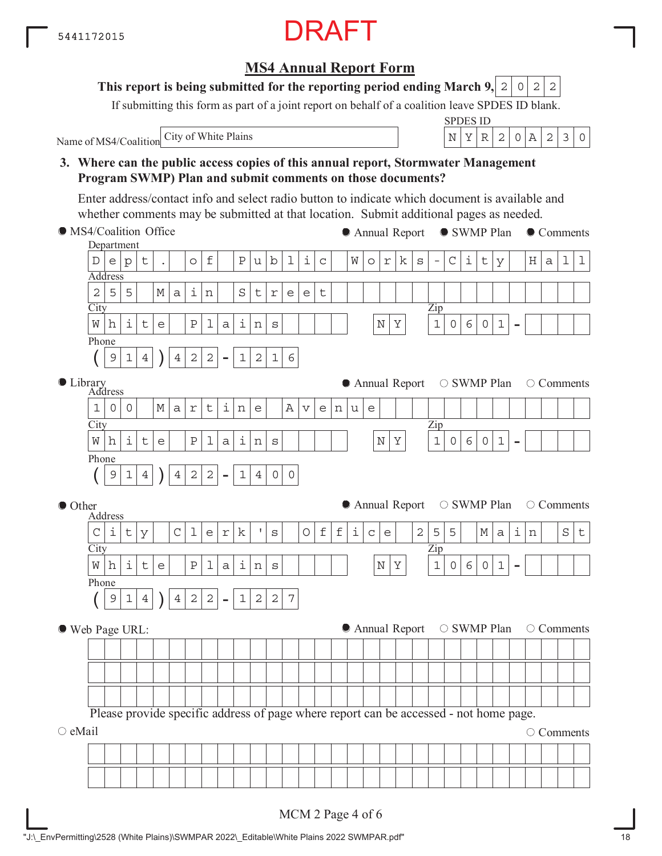#### **3. Where can the public access copies of this annual report, Stormwater Management Program SWMP) Plan and submit comments on those documents? City** Department Address Zip - Phone  $(| 9 | 1 | 4 | ) | 4 | 2 | 2 | -$ **City** Address Library Zip - Phone  $(| 9 | 1 | 4 | ) | 4 | 2 | 2 | -$ **City** Address Zip - Phone  $(| 9 | 1 | 4 | ) | 4 | 2 | 2 | -$ MS4/Coalition Office ● Other Web Page URL:  $\circ$  eMail Name of MS4/Coalition Please provide specific address of page where report can be accessed - not home page. ● Annual Report ● SWMP Plan ● Comments  $\bullet$  Annual Report  $\circ$  SWMP Plan  $\circ$  Comments  $\bullet$  Annual Report  $\circ$  SWMP Plan  $\circ$  Comments  $\bullet$  Annual Report  $\circ$  SWMP Plan  $\circ$  Comments O Comments Enter address/contact info and select radio button to indicate which document is available and whether comments may be submitted at that location. Submit additional pages as needed.  $D\,|\,e\,|\,p\,|\,t\,|\,$  .  $|\,$   $\,|$   $\circ$   $|\,$   $\,F\,|\,u\,|\,b\,|\,1\,|\,c\,|\,$   $\,|$   $\,W\,|\,o\,|\,r\,|\,k\,|\,s\,|\,$   $|\,C\,|\,i\,|\,t\,|\,y\,|\,$   $\,$   $\,H\,|\,a\,|\,1\,|\,1$  $2|5|5|$   $|M|a|i|n|$   $|S|t|r|e|e|t$  $W\left\lfloor \left| \frac{1}{2}\right| \right\rfloor$ t $\left| e \right|$   $\left| \frac{p}{2}\right|$ a $\left| \frac{1}{2}\right|$ s $\left| \left| \right|$   $\left| \right|$   $\left| \left| \frac{N}{Y} \right|$   $\left| \frac{1}{0}\right|$ 6 $\left| \left| 0 \right|$ 1  $9|1|4$  )  $|4|2|2$  -  $|1|2|1|6$  $1|0|0|$   $|M|a|r|t|i|n|e|$   $|A|v|e|n|u|e$  $W\left\lfloor \left| \frac{1}{2}\right| \right\rfloor$ t $\left| e \right|$   $\left| \frac{p}{2}\right|$ a $\left| \frac{1}{2}\right|$ s $\left| \left| \right|$   $\left| \right|$   $\left| \left| \frac{N}{Y} \right|$   $\left| \frac{1}{0}\right|$ 6 $\left| \left| 0 \right|$ 1  $9|1|4$  )  $|4|2|2$  -  $|1|4|0|0$  $C|i|t|y|$   $|C|1|e|r|k|$  's  $|O|f|f|i|c|e|$   $|2|5|5|$   $|M|a|i|n|$   $|S|t$  $W\left[ h\right] i\left[ t\right] e\left[ \left. \begin{array}{c|c|c|c|c|c} |p|1|a|i|n|s| & & & & \end{array} \right] \left. \begin{array}{c|c|c|c} |p|& & & \end{array} \right] n\left[ s\right] \left. \begin{array}{c|c|c|c} |p|& & & \end{array} \right] n\left[ \begin{array}{c|c|c|c} |p|& & & \end{array} \right] n\left[ \begin{array}{c|c|c|c} |p|q|& & & \end{array} \right] n\left[ \begin{array}{c|c|c|c} |p|q|& &$  $9|1|4$  )  $|4|2|2$  -  $|1|2|2$  7

MCM 2 Page 4 of 6

### **MS4 Annual Report Form**

#### **This report is being submitted for the reporting period ending March 9, 2 0 2 2**

If submitting this form as part of a joint report on behalf of a coalition leave SPDES ID blank.

City of White Plains  $\vert N \vert Y \vert R \vert 2 \vert 0 \vert A \vert 2 \vert 3 \vert 0$ 

SPDES ID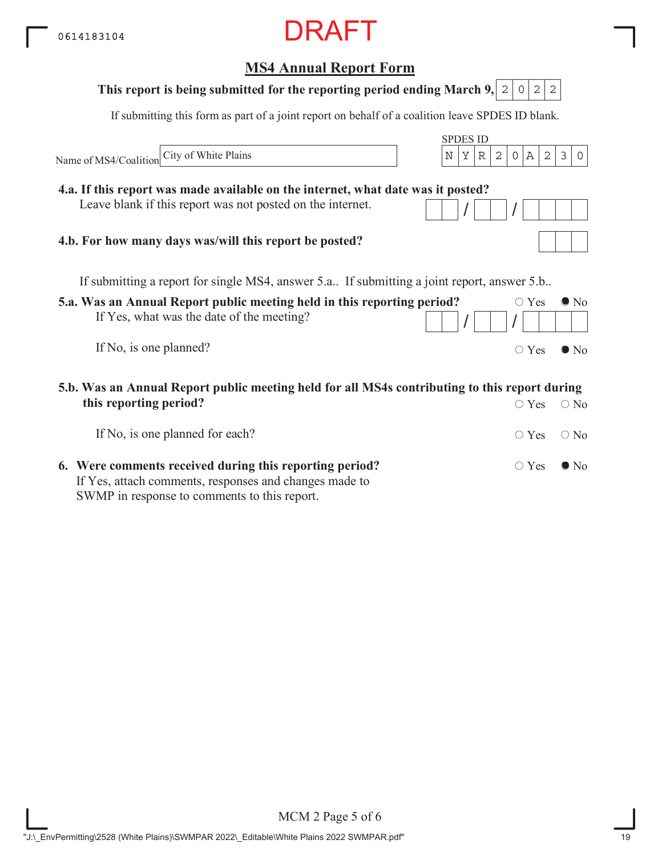## **5.a. Was an Annual Report public meeting held in this reporting period?** If Yes, what was the date of the meeting? If No, is one planned? **MS4 Annual Report Form** SPDES ID If submitting this form as part of a joint report on behalf of a coalition leave SPDES ID blank. Name of MS4/Coalition  $\circ$  Yes  $\bullet$  No  $/$   $/$   $/$  $\circ$  Yes  $\bullet$  No If submitting a report for single MS4, answer 5.a.. If submitting a joint report, answer 5.b.. **5.b. Was an Annual Report public meeting held for all MS4s contributing to this report during this reporting period?**  $\bigcirc$  Yes  $\bigcirc$  No **This report is being submitted for the reporting period ending March 9, 2 0 2 2 4.a. If this report was made available on the internet, what date was it posted?** Leave blank if this report was not posted on the internet. **4.b. For how many days was/will this report be posted?** City of White Plains  $\vert N \vert Y \vert R \vert 2 \vert 0 \vert A \vert 2 \vert 3 \vert 0$

| If No, is one planned for each?                         | $\bigcirc$ Yes $\bigcirc$ No |  |
|---------------------------------------------------------|------------------------------|--|
| 6. Were comments received during this reporting period? | $\circ$ Yes $\bullet$ No     |  |
| If Yes, attach comments, responses and changes made to  |                              |  |
| SWMP in response to comments to this report.            |                              |  |

MCM 2 Page 5 of 6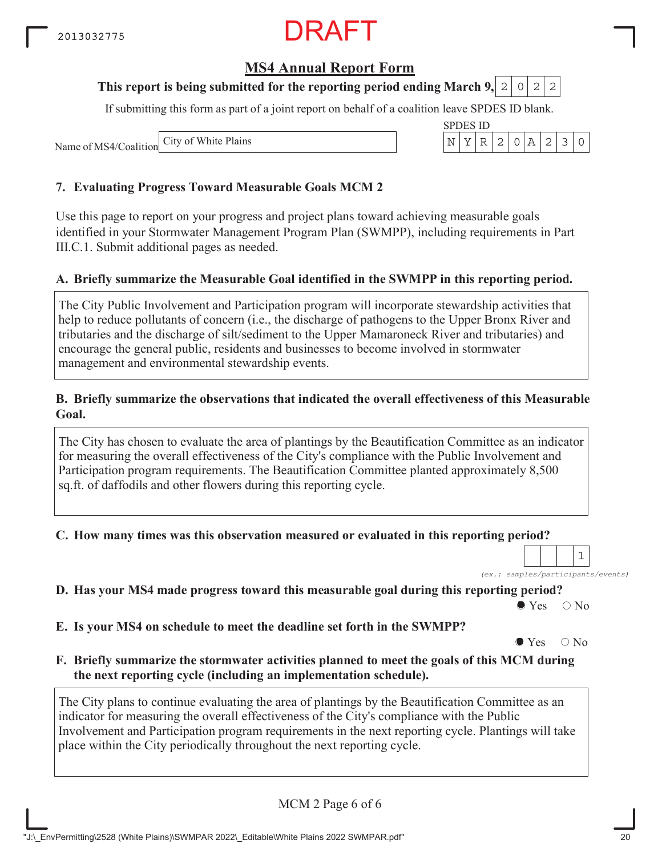### **MS4 Annual Report Form**

#### **This report is being submitted for the reporting period ending March 9,**  $0|2|2$

If submitting this form as part of a joint report on behalf of a coalition leave SPDES ID blank.

Name of MS4/Coalition City of White Plains

#### **7. Evaluating Progress Toward Measurable Goals MCM 2**

Use this page to report on your progress and project plans toward achieving measurable goals identified in your Stormwater Management Program Plan (SWMPP), including requirements in Part III.C.1. Submit additional pages as needed.

#### **A. Briefly summarize the Measurable Goal identified in the SWMPP in this reporting period.**

The City Public Involvement and Participation program will incorporate stewardship activities that help to reduce pollutants of concern (i.e., the discharge of pathogens to the Upper Bronx River and tributaries and the discharge of silt/sediment to the Upper Mamaroneck River and tributaries) and encourage the general public, residents and businesses to become involved in stormwater management and environmental stewardship events.

#### **B. Briefly summarize the observations that indicated the overall effectiveness of this Measurable Goal.**

The City has chosen to evaluate the area of plantings by the Beautification Committee as an indicator for measuring the overall effectiveness of the City's compliance with the Public Involvement and Participation program requirements. The Beautification Committee planted approximately 8,500 sq.ft. of daffodils and other flowers during this reporting cycle.

#### **C. How many times was this observation measured or evaluated in this reporting period?**

*(ex.: samples/participants/events)* 1

**D. Has your MS4 made progress toward this measurable goal during this reporting period?**

 $\bullet$  Yes  $\circ$  No

**E. Is your MS4 on schedule to meet the deadline set forth in the SWMPP?**

 $\bullet$  Yes  $\circ$  No

**F. Briefly summarize the stormwater activities planned to meet the goals of this MCM during the next reporting cycle (including an implementation schedule).**

The City plans to continue evaluating the area of plantings by the Beautification Committee as an indicator for measuring the overall effectiveness of the City's compliance with the Public Involvement and Participation program requirements in the next reporting cycle. Plantings will take place within the City periodically throughout the next reporting cycle.

MCM 2 Page 6 of 6

| SPDES ID |  |                      |        |    |               |  |
|----------|--|----------------------|--------|----|---------------|--|
|          |  | $R$   2   $\sqrt{ }$ | $\cap$ | 7\ | $\mathcal{L}$ |  |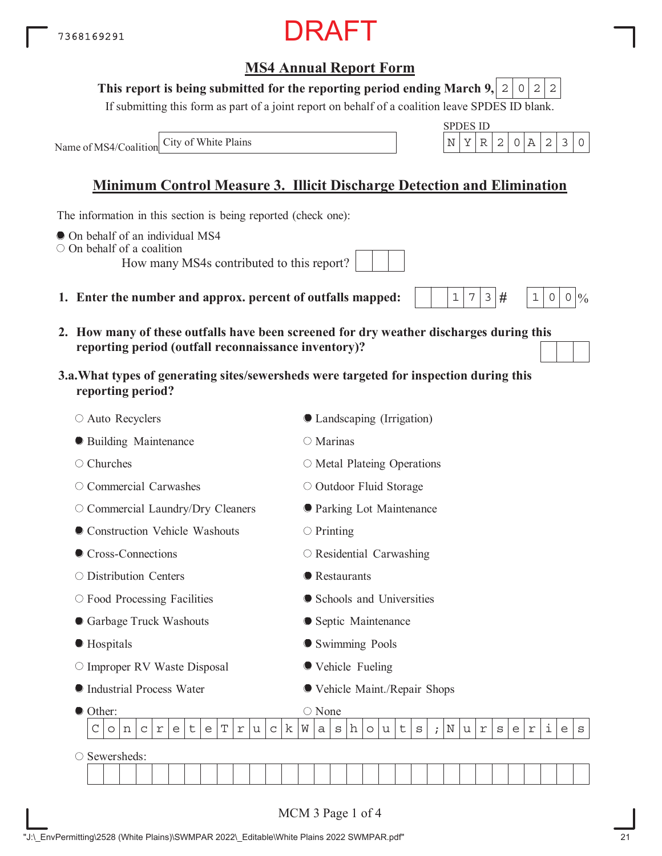### 7368169291

## **MS4 Annual Report Form**

DRAFT

#### **This report is being submitted for the reporting period ending March 9,**  $0|2|2$

If submitting this form as part of a joint report on behalf of a coalition leave SPDES ID blank.

SPDES ID

 $1|7|3|#$ 

 $1 \, | \, 0 \, | \, 0 \, | \, 0$ 

Name of MS4/Coalition City of White Plains  $\vert N \vert Y \vert R \vert 2 \vert 0 \vert A \vert 2 \vert 3 \vert 0$ 

## **Minimum Control Measure 3. Illicit Discharge Detection and Elimination**

The information in this section is being reported (check one):

- $\bullet$  On behalf of an individual MS4
- On behalf of a coalition

How many MS4s contributed to this report?

- **1. Enter the number and approx. percent of outfalls mapped:**
- **2. How many of these outfalls have been screened for dry weather discharges during this reporting period (outfall reconnaissance inventory)?**
- **3.a.What types of generating sites/sewersheds were targeted for inspection during this reporting period?**

| ○ Auto Recyclers                                                                                     |                   |   |                            | ● Landscaping (Irrigation)        |   |   |         |   |    |         |            |         |   |                         |   |   |            |   |   |   |
|------------------------------------------------------------------------------------------------------|-------------------|---|----------------------------|-----------------------------------|---|---|---------|---|----|---------|------------|---------|---|-------------------------|---|---|------------|---|---|---|
| <b>• Building Maintenance</b>                                                                        |                   |   |                            | O Marinas                         |   |   |         |   |    |         |            |         |   |                         |   |   |            |   |   |   |
| $\circ$ Churches                                                                                     |                   |   |                            | $\circ$ Metal Plateing Operations |   |   |         |   |    |         |            |         |   |                         |   |   |            |   |   |   |
| Commercial Carwashes<br>O                                                                            |                   |   |                            | O Outdoor Fluid Storage           |   |   |         |   |    |         |            |         |   |                         |   |   |            |   |   |   |
| O Commercial Laundry/Dry Cleaners                                                                    |                   |   |                            | <b>O</b> Parking Lot Maintenance  |   |   |         |   |    |         |            |         |   |                         |   |   |            |   |   |   |
| Construction Vehicle Washouts                                                                        |                   |   |                            | $\circ$ Printing                  |   |   |         |   |    |         |            |         |   |                         |   |   |            |   |   |   |
| Cross-Connections                                                                                    |                   |   |                            | $\circ$ Residential Carwashing    |   |   |         |   |    |         |            |         |   |                         |   |   |            |   |   |   |
| ○ Distribution Centers                                                                               |                   |   |                            |                                   |   |   |         |   |    |         |            |         |   |                         |   |   |            |   |   |   |
| $\circ$ Food Processing Facilities                                                                   |                   |   | • Schools and Universities |                                   |   |   |         |   |    |         |            |         |   |                         |   |   |            |   |   |   |
| Garbage Truck Washouts                                                                               |                   |   |                            | • Septic Maintenance              |   |   |         |   |    |         |            |         |   |                         |   |   |            |   |   |   |
| Hospitals                                                                                            |                   |   |                            | Swimming Pools                    |   |   |         |   |    |         |            |         |   |                         |   |   |            |   |   |   |
| $\circ$ Improper RV Waste Disposal                                                                   |                   |   |                            | ● Vehicle Fueling                 |   |   |         |   |    |         |            |         |   |                         |   |   |            |   |   |   |
| Industrial Process Water                                                                             |                   |   |                            | ● Vehicle Maint./Repair Shops     |   |   |         |   |    |         |            |         |   |                         |   |   |            |   |   |   |
| Other:                                                                                               |                   |   |                            | $\bigcirc$ None                   |   |   |         |   |    |         |            |         |   |                         |   |   |            |   |   |   |
| $\mathbf T$<br>C<br>$\mathsf t$<br>$\Upsilon$<br>$\mathsf C$<br>$\Upsilon$<br>e<br>e<br>n<br>$\circ$ | u<br>$\mathsf{C}$ | k | W                          | a                                 | S | h | $\circ$ | u | t. | $\rm s$ | $\ddot{i}$ | $\rm N$ | u | $\mathfrak{\textbf{r}}$ | S | e | $\Upsilon$ | i | e | S |
| Sewersheds:                                                                                          |                   |   |                            |                                   |   |   |         |   |    |         |            |         |   |                         |   |   |            |   |   |   |
|                                                                                                      |                   |   |                            |                                   |   |   |         |   |    |         |            |         |   |                         |   |   |            |   |   |   |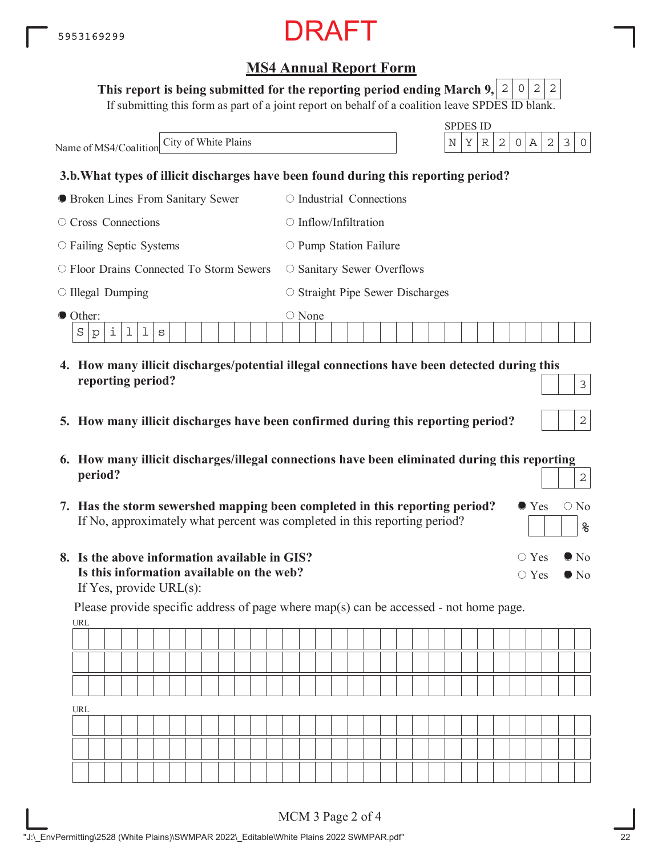#### This report is being submitted for the reporting period ending March 9,  $\mid$  2  $\mid$  0  $\mid$  2  $\mid$  2

If submitting this form as part of a joint report on behalf of a coalition leave SPDES ID blank.

| City of White Plains<br>Name of MS4/Coalition              | <b>SPDES ID</b><br>Α<br>2<br>3<br>Υ<br>2<br>$\circ$<br>N<br>$\mathbb R$<br>0                |
|------------------------------------------------------------|---------------------------------------------------------------------------------------------|
|                                                            | 3.b. What types of illicit discharges have been found during this reporting period?         |
| • Broken Lines From Sanitary Sewer                         | Industrial Connections                                                                      |
| $\circ$ Cross Connections                                  | Inflow/Infiltration<br>$\left( \begin{array}{c} 1 \end{array} \right)$                      |
| $\circ$ Failing Septic Systems                             | $\circ$ Pump Station Failure                                                                |
| $\circ$ Floor Drains Connected To Storm Sewers             | $\circ$ Sanitary Sewer Overflows                                                            |
| $\circ$ Illegal Dumping                                    | $\circ$ Straight Pipe Sewer Discharges                                                      |
| ● Other:<br>i<br>$\mathbf 1$<br>$\mathbf 1$<br>S<br>S<br>p | $\circ$ None                                                                                |
|                                                            | 4. How many illicit discharges/potential illegal connections have been detected during this |

- **5. How many illicit discharges have been confirmed during this reporting period?**
- **6. How many illicit discharges/illegal connections have been eliminated during this reporting period?** 2
- **7. Has the storm sewershed mapping been completed in this reporting period?** If No, approximately what percent was completed in this reporting period?
- **8. Is the above information available in GIS? Is this information available on the web?** If Yes, provide URL(s):

**reporting period?**

URL Please provide specific address of page where map(s) can be accessed - not home page.

| URL |  |  |  |  |  |  |  |  |  |  |  |  |  |  |  |  |
|-----|--|--|--|--|--|--|--|--|--|--|--|--|--|--|--|--|
|     |  |  |  |  |  |  |  |  |  |  |  |  |  |  |  |  |
|     |  |  |  |  |  |  |  |  |  |  |  |  |  |  |  |  |
|     |  |  |  |  |  |  |  |  |  |  |  |  |  |  |  |  |

 $\bullet$  Yes  $\circ$  No

○ Yes ● No

 $\bigcirc$  Yes  $\bigcirc$  No

**%**

3

2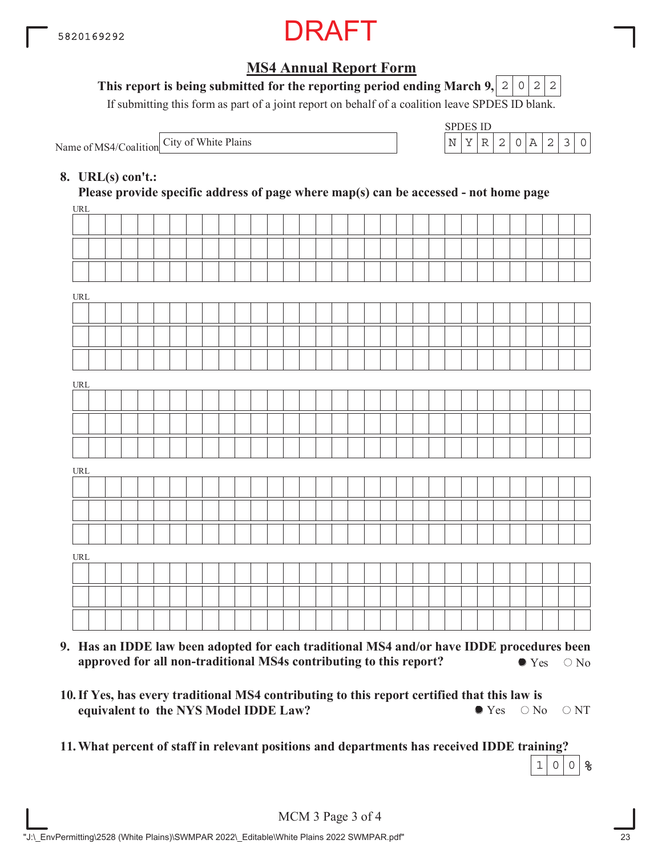

#### This report is being submitted for the reporting period ending March 9,  $\mid$  2  $\mid$  0  $\mid$  2  $\mid$  2

If submitting this form as part of a joint report on behalf of a coalition leave SPDES ID blank.

Name of MS4/Coalition City of White Plains

| ベビロチ | ES 11). |               |                  |  |  |
|------|---------|---------------|------------------|--|--|
|      |         | $\mathcal{P}$ | $\left( \right)$ |  |  |

#### **8. URL(s) con't.:**

 $\overline{u}$ **Please provide specific address of page where map(s) can be accessed - not home page**

| URL                              |  |  |  |  |  |  |  |  |  |  |  |  |  |  |  |  |
|----------------------------------|--|--|--|--|--|--|--|--|--|--|--|--|--|--|--|--|
|                                  |  |  |  |  |  |  |  |  |  |  |  |  |  |  |  |  |
|                                  |  |  |  |  |  |  |  |  |  |  |  |  |  |  |  |  |
|                                  |  |  |  |  |  |  |  |  |  |  |  |  |  |  |  |  |
| URL                              |  |  |  |  |  |  |  |  |  |  |  |  |  |  |  |  |
|                                  |  |  |  |  |  |  |  |  |  |  |  |  |  |  |  |  |
|                                  |  |  |  |  |  |  |  |  |  |  |  |  |  |  |  |  |
|                                  |  |  |  |  |  |  |  |  |  |  |  |  |  |  |  |  |
| URL                              |  |  |  |  |  |  |  |  |  |  |  |  |  |  |  |  |
|                                  |  |  |  |  |  |  |  |  |  |  |  |  |  |  |  |  |
|                                  |  |  |  |  |  |  |  |  |  |  |  |  |  |  |  |  |
|                                  |  |  |  |  |  |  |  |  |  |  |  |  |  |  |  |  |
| URL                              |  |  |  |  |  |  |  |  |  |  |  |  |  |  |  |  |
|                                  |  |  |  |  |  |  |  |  |  |  |  |  |  |  |  |  |
|                                  |  |  |  |  |  |  |  |  |  |  |  |  |  |  |  |  |
|                                  |  |  |  |  |  |  |  |  |  |  |  |  |  |  |  |  |
| $\ensuremath{\text{URL}}\xspace$ |  |  |  |  |  |  |  |  |  |  |  |  |  |  |  |  |
|                                  |  |  |  |  |  |  |  |  |  |  |  |  |  |  |  |  |
|                                  |  |  |  |  |  |  |  |  |  |  |  |  |  |  |  |  |
|                                  |  |  |  |  |  |  |  |  |  |  |  |  |  |  |  |  |
|                                  |  |  |  |  |  |  |  |  |  |  |  |  |  |  |  |  |

- **9. Has an IDDE law been adopted for each traditional MS4 and/or have IDDE procedures been approved for all non-traditional MS4s contributing to this report?**  $\bullet$  Yes  $\circ$  No
- **10. If Yes, has every traditional MS4 contributing to this report certified that this law is equivalent to the NYS Model IDDE Law?**  $\bullet$  Yes  $\circ$  No  $\circ$  NT
- **11.What percent of staff in relevant positions and departments has received IDDE training?**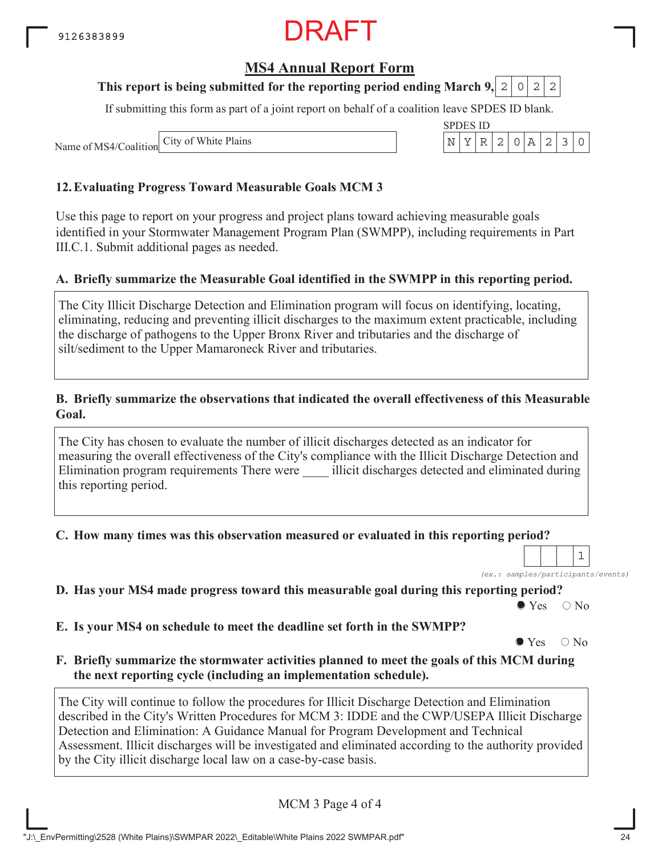### **MS4 Annual Report Form**

#### **This report is being submitted for the reporting period ending March 9, 2 0 2 2**

If submitting this form as part of a joint report on behalf of a coalition leave SPDES ID blank.

Name of MS4/Coalition City of White Plains

#### **12.Evaluating Progress Toward Measurable Goals MCM 3**

Use this page to report on your progress and project plans toward achieving measurable goals identified in your Stormwater Management Program Plan (SWMPP), including requirements in Part III.C.1. Submit additional pages as needed.

#### **A. Briefly summarize the Measurable Goal identified in the SWMPP in this reporting period.**

The City Illicit Discharge Detection and Elimination program will focus on identifying, locating, eliminating, reducing and preventing illicit discharges to the maximum extent practicable, including the discharge of pathogens to the Upper Bronx River and tributaries and the discharge of silt/sediment to the Upper Mamaroneck River and tributaries.

#### **B. Briefly summarize the observations that indicated the overall effectiveness of this Measurable Goal.**

The City has chosen to evaluate the number of illicit discharges detected as an indicator for measuring the overall effectiveness of the City's compliance with the Illicit Discharge Detection and Elimination program requirements There were \_\_\_\_ illicit discharges detected and eliminated during this reporting period.

**C. How many times was this observation measured or evaluated in this reporting period?**

*(ex.: samples/participants/events)* 1

**D. Has your MS4 made progress toward this measurable goal during this reporting period?**

 $\bullet$  Yes  $\circ$  No

**E. Is your MS4 on schedule to meet the deadline set forth in the SWMPP?**

 $\bullet$  Yes  $\circ$  No

**F. Briefly summarize the stormwater activities planned to meet the goals of this MCM during the next reporting cycle (including an implementation schedule).**

The City will continue to follow the procedures for Illicit Discharge Detection and Elimination described in the City's Written Procedures for MCM 3: IDDE and the CWP/USEPA Illicit Discharge Detection and Elimination: A Guidance Manual for Program Development and Technical Assessment. Illicit discharges will be investigated and eliminated according to the authority provided by the City illicit discharge local law on a case-by-case basis.

MCM 3 Page 4 of 4

"J:\\_EnvPermitting\2528 (White Plains)\SWMPAR 2022\\_Editable\White Plains 2022 SWMPAR.pdf" 24

| SPDI | ES ID |  |  |  |
|------|-------|--|--|--|
|      |       |  |  |  |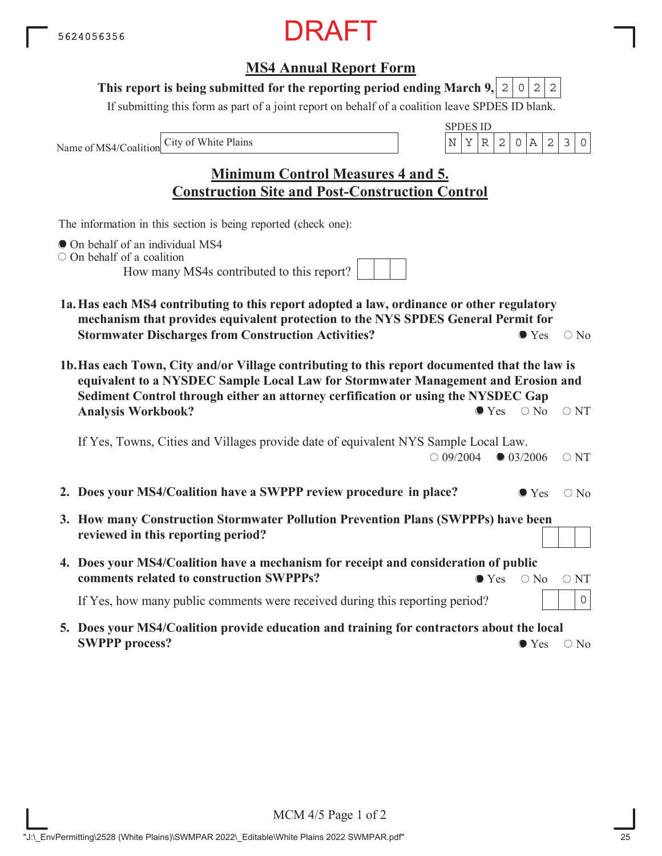### **MS4 Annual Report Form**

#### This report is being submitted for the reporting period ending March 9,  $|2|0|2|2$

If submitting this form as part of a joint report on behalf of a coalition leave SPDES ID blank.

Name of MS4/Coalition

SPDES ID City of White Plains  $\vert N \vert Y \vert R \vert 2 \vert 0 \vert A \vert 2 \vert 3 \vert 0$ 

**Minimum Control Measures 4 and 5. Construction Site and Post-Construction Control**

The information in this section is being reported (check one):

- On behalf of an individual MS4
- O On behalf of a coalition

How many MS4s contributed to this report?

- **1a.Has each MS4 contributing to this report adopted a law, ordinance or other regulatory mechanism that provides equivalent protection to the NYS SPDES General Permit for Stormwater Discharges from Construction Activities?**  $\bullet$  Yes  $\circ$  No
- **1b.Has each Town, City and/or Village contributing to this report documented that the law is equivalent to a NYSDEC Sample Local Law for Stormwater Management and Erosion and Sediment Control through either an attorney cerfification or using the NYSDEC Gap Analysis Workbook?**  $\bullet$  Yes  $\circ$  No  $\circ$  NT

If Yes, Towns, Cities and Villages provide date of equivalent NYS Sample Local Law.  $\bigcirc$  09/2004  $\bigcirc$  03/2006  $\bigcirc$  NT

- **2. Does your MS4/Coalition have a SWPPP review procedure in place?**  $\bullet$  Yes  $\circ$  No
- **3. How many Construction Stormwater Pollution Prevention Plans (SWPPPs) have been reviewed in this reporting period?**
- **4. Does your MS4/Coalition have a mechanism for receipt and consideration of public comments related to construction SWPPPs?**  $\bullet$  Yes  $\circ$  No  $\circ$  NT

If Yes, how many public comments were received during this reporting period?

**5. Does your MS4/Coalition provide education and training for contractors about the local SWPPP process?**  $\bullet$  Yes  $\circ$  No

0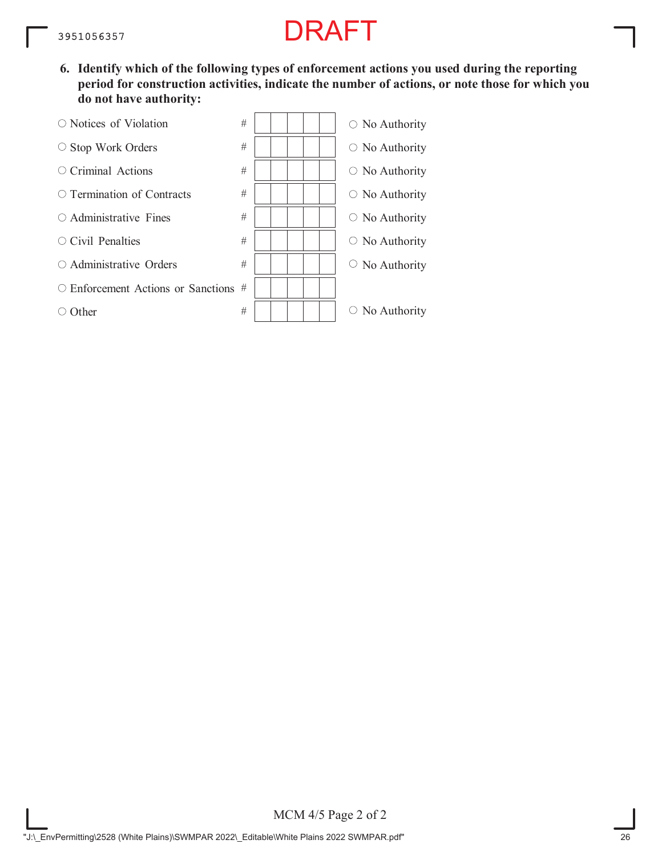**6. Identify which of the following types of enforcement actions you used during the reporting period for construction activities, indicate the number of actions, or note those for which you do not have authority:**

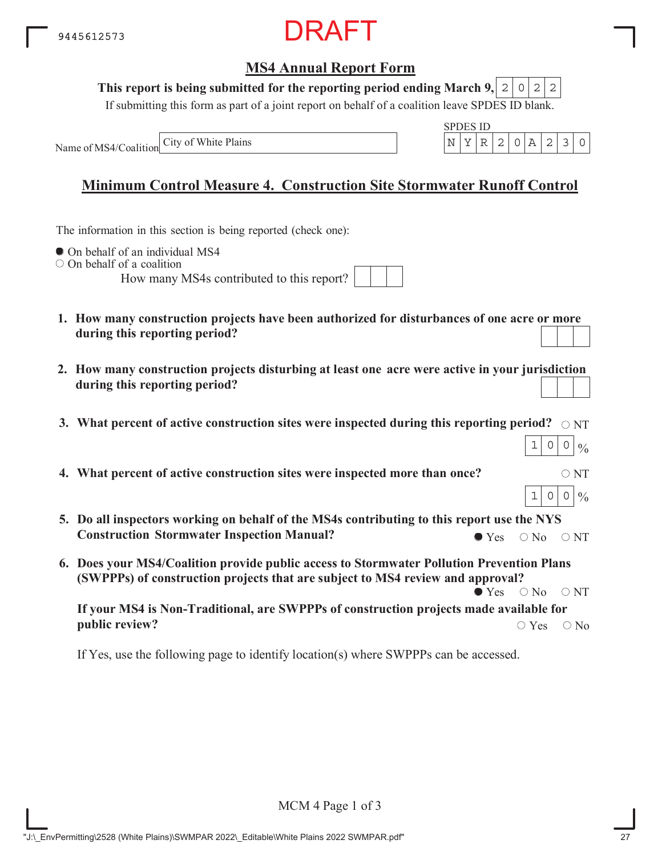

#### This report is being submitted for the reporting period ending March 9,  $|2|0|2|2$

If submitting this form as part of a joint report on behalf of a coalition leave SPDES ID blank.

Name of MS4/Coalition



 $1|0|0|\%$ 

 $1|0|0|\%$ 

### **Minimum Control Measure 4. Construction Site Stormwater Runoff Control**

The information in this section is being reported (check one):

 $\bullet$  On behalf of an individual MS4

 $\circ$  On behalf of a coalition

How many MS4s contributed to this report?

- **1. How many construction projects have been authorized for disturbances of one acre or more during this reporting period?**
- **2. How many construction projects disturbing at least one acre were active in your jurisdiction during this reporting period?**
- 3. What percent of active construction sites were inspected during this reporting period?  $\,\circ$   $_{\rm NT}$
- **4. What percent of active construction sites were inspected more than once?**  $\circ$  NT
- **5. Do all inspectors working on behalf of the MS4s contributing to this report use the NYS Construction Stormwater Inspection Manual?**  $\bullet$  Yes  $\circ$  No  $\circ$  NT
- **6. Does your MS4/Coalition provide public access to Stormwater Pollution Prevention Plans (SWPPPs) of construction projects that are subject to MS4 review and approval?**  $\bullet$  Yes  $\circ$  No  $\circ$  NT

**If your MS4 is Non-Traditional, are SWPPPs of construction projects made available for public review?**  $\bigcirc$  Yes  $\bigcirc$  No

If Yes, use the following page to identify location(s) where SWPPPs can be accessed.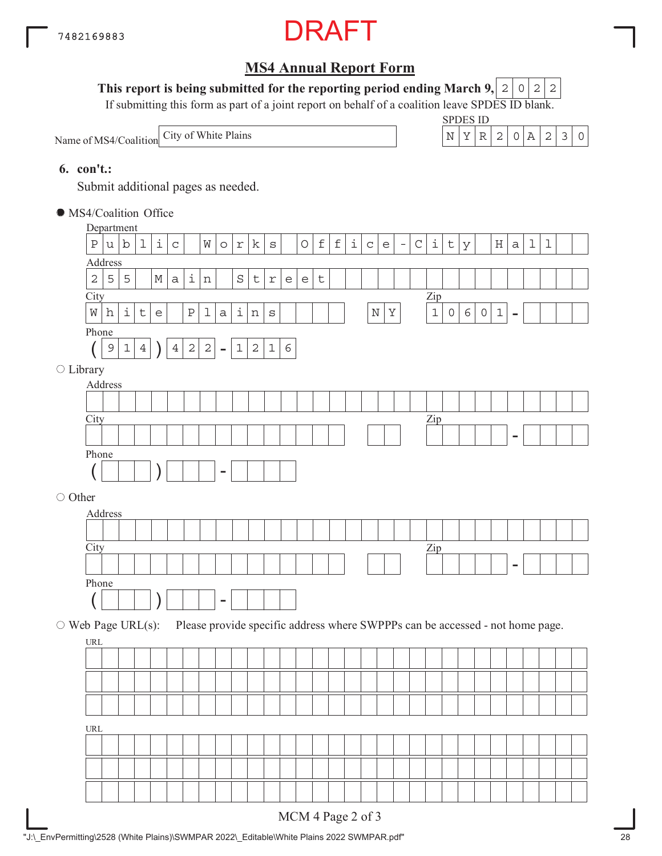

#### This report is being submitted for the reporting period ending March 9,  $|2|0|2|2$

If submitting this form as part of a joint report on behalf of a coalition leave SPDES ID blank.

Name of MS4/Coalition

SPDES ID



#### **6. con't.:**

Submit additional pages as needed.

MS4/Coalition Office

|                          | Department                         |               |                            |                    |                                   |                |                    |                |             |            |              |             |                                   |            |             |             |                   |              |                                   |          |                                                                               |                                  |              |   |             |                            |                |             |             |  |
|--------------------------|------------------------------------|---------------|----------------------------|--------------------|-----------------------------------|----------------|--------------------|----------------|-------------|------------|--------------|-------------|-----------------------------------|------------|-------------|-------------|-------------------|--------------|-----------------------------------|----------|-------------------------------------------------------------------------------|----------------------------------|--------------|---|-------------|----------------------------|----------------|-------------|-------------|--|
|                          | $\, {\bf P}$                       | u             | b                          | $\mathbf 1$        | i                                 | $\mathsf C$    |                    | W              | $\circ$     | $\Upsilon$ | k            | $\rm S$     |                                   | $\bigcirc$ | $\mathbf f$ | $\mathbf f$ | i                 | $\mathtt{C}$ | $\mathsf{e}% _{t}\left( t\right)$ | $\equiv$ | $\mathsf C$                                                                   | i                                | $\sf t$      | У |             | H                          | $\mathsf a$    | $\mathbf 1$ | $\mathbf 1$ |  |
|                          | Address                            |               |                            |                    |                                   |                |                    |                |             |            |              |             |                                   |            |             |             |                   |              |                                   |          |                                                                               |                                  |              |   |             |                            |                |             |             |  |
|                          | $\sqrt{2}$                         | 5             | 5                          |                    | М                                 | $\mathsf{a}$   | $\dot{\mathtt{l}}$ | $\, {\rm n}$   |             | $\rm S$    | $\mathsf t$  | $\Upsilon$  | $\mathsf{e}% _{t}\left( t\right)$ | e          | $\sf t$     |             |                   |              |                                   |          |                                                                               |                                  |              |   |             |                            |                |             |             |  |
|                          | City                               |               |                            |                    |                                   |                |                    |                |             |            |              |             |                                   |            |             |             |                   |              |                                   |          |                                                                               | $\mathop{\mathrm{Zip}}\nolimits$ |              |   |             |                            |                |             |             |  |
|                          | W                                  | h             | i                          | $\, \mathsf{t} \,$ | $\mathsf{e}% _{t}\left( t\right)$ |                | $\, {\bf P}$       | $\mathbf 1$    | $\mathsf a$ | $\perp$    | $\, {\rm n}$ | $\rm S$     |                                   |            |             |             |                   | $\mathbb N$  | $\rm Y$                           |          |                                                                               | $\mathbf 1$                      | $\mathsf{O}$ | 6 | $\mathsf O$ | $\ensuremath{\mathbbm{1}}$ | $\blacksquare$ |             |             |  |
|                          | Phone                              |               |                            |                    |                                   |                |                    |                |             |            |              |             |                                   |            |             |             |                   |              |                                   |          |                                                                               |                                  |              |   |             |                            |                |             |             |  |
|                          |                                    | $\mathcal{G}$ | $\ensuremath{\mathbbm{1}}$ | $\overline{4}$     |                                   | $\overline{4}$ | $\sqrt{2}$         | $\overline{a}$ | $\equiv$    | $1\,$      | $\mathbf{2}$ | $\mathbf 1$ | $\epsilon$                        |            |             |             |                   |              |                                   |          |                                                                               |                                  |              |   |             |                            |                |             |             |  |
| $\bigcirc$ Library       |                                    |               |                            |                    |                                   |                |                    |                |             |            |              |             |                                   |            |             |             |                   |              |                                   |          |                                                                               |                                  |              |   |             |                            |                |             |             |  |
|                          | Address                            |               |                            |                    |                                   |                |                    |                |             |            |              |             |                                   |            |             |             |                   |              |                                   |          |                                                                               |                                  |              |   |             |                            |                |             |             |  |
|                          |                                    |               |                            |                    |                                   |                |                    |                |             |            |              |             |                                   |            |             |             |                   |              |                                   |          |                                                                               |                                  |              |   |             |                            |                |             |             |  |
|                          | City                               |               |                            |                    |                                   |                |                    |                |             |            |              |             |                                   |            |             |             |                   |              |                                   |          |                                                                               | $\mathbf{Zip}$                   |              |   |             |                            |                |             |             |  |
|                          |                                    |               |                            |                    |                                   |                |                    |                |             |            |              |             |                                   |            |             |             |                   |              |                                   |          |                                                                               |                                  |              |   |             |                            |                |             |             |  |
|                          | Phone                              |               |                            |                    |                                   |                |                    |                |             |            |              |             |                                   |            |             |             |                   |              |                                   |          |                                                                               |                                  |              |   |             |                            |                |             |             |  |
|                          |                                    |               |                            |                    |                                   |                |                    |                |             |            |              |             |                                   |            |             |             |                   |              |                                   |          |                                                                               |                                  |              |   |             |                            |                |             |             |  |
| ○ Other                  |                                    |               |                            |                    |                                   |                |                    |                |             |            |              |             |                                   |            |             |             |                   |              |                                   |          |                                                                               |                                  |              |   |             |                            |                |             |             |  |
|                          | Address                            |               |                            |                    |                                   |                |                    |                |             |            |              |             |                                   |            |             |             |                   |              |                                   |          |                                                                               |                                  |              |   |             |                            |                |             |             |  |
|                          |                                    |               |                            |                    |                                   |                |                    |                |             |            |              |             |                                   |            |             |             |                   |              |                                   |          |                                                                               |                                  |              |   |             |                            |                |             |             |  |
|                          | City                               |               |                            |                    |                                   |                |                    |                |             |            |              |             |                                   |            |             |             |                   |              |                                   |          |                                                                               | $\mathbf{Zip}$                   |              |   |             |                            |                |             |             |  |
|                          |                                    |               |                            |                    |                                   |                |                    |                |             |            |              |             |                                   |            |             |             |                   |              |                                   |          |                                                                               |                                  |              |   |             |                            |                |             |             |  |
|                          | Phone                              |               |                            |                    |                                   |                |                    |                |             |            |              |             |                                   |            |             |             |                   |              |                                   |          |                                                                               |                                  |              |   |             |                            |                |             |             |  |
|                          |                                    |               |                            |                    |                                   |                |                    |                |             |            |              |             |                                   |            |             |             |                   |              |                                   |          |                                                                               |                                  |              |   |             |                            |                |             |             |  |
| $\circ$ Web Page URL(s): |                                    |               |                            |                    |                                   |                |                    |                |             |            |              |             |                                   |            |             |             |                   |              |                                   |          | Please provide specific address where SWPPPs can be accessed - not home page. |                                  |              |   |             |                            |                |             |             |  |
|                          | URL                                |               |                            |                    |                                   |                |                    |                |             |            |              |             |                                   |            |             |             |                   |              |                                   |          |                                                                               |                                  |              |   |             |                            |                |             |             |  |
|                          |                                    |               |                            |                    |                                   |                |                    |                |             |            |              |             |                                   |            |             |             |                   |              |                                   |          |                                                                               |                                  |              |   |             |                            |                |             |             |  |
|                          |                                    |               |                            |                    |                                   |                |                    |                |             |            |              |             |                                   |            |             |             |                   |              |                                   |          |                                                                               |                                  |              |   |             |                            |                |             |             |  |
|                          |                                    |               |                            |                    |                                   |                |                    |                |             |            |              |             |                                   |            |             |             |                   |              |                                   |          |                                                                               |                                  |              |   |             |                            |                |             |             |  |
|                          |                                    |               |                            |                    |                                   |                |                    |                |             |            |              |             |                                   |            |             |             |                   |              |                                   |          |                                                                               |                                  |              |   |             |                            |                |             |             |  |
|                          | $\ensuremath{\mathsf{URL}}\xspace$ |               |                            |                    |                                   |                |                    |                |             |            |              |             |                                   |            |             |             |                   |              |                                   |          |                                                                               |                                  |              |   |             |                            |                |             |             |  |
|                          |                                    |               |                            |                    |                                   |                |                    |                |             |            |              |             |                                   |            |             |             |                   |              |                                   |          |                                                                               |                                  |              |   |             |                            |                |             |             |  |
|                          |                                    |               |                            |                    |                                   |                |                    |                |             |            |              |             |                                   |            |             |             |                   |              |                                   |          |                                                                               |                                  |              |   |             |                            |                |             |             |  |
|                          |                                    |               |                            |                    |                                   |                |                    |                |             |            |              |             |                                   |            |             |             |                   |              |                                   |          |                                                                               |                                  |              |   |             |                            |                |             |             |  |
|                          |                                    |               |                            |                    |                                   |                |                    |                |             |            |              |             |                                   |            |             |             |                   |              |                                   |          |                                                                               |                                  |              |   |             |                            |                |             |             |  |
|                          |                                    |               |                            |                    |                                   |                |                    |                |             |            |              |             |                                   |            |             |             | MCM 4 Page 2 of 3 |              |                                   |          |                                                                               |                                  |              |   |             |                            |                |             |             |  |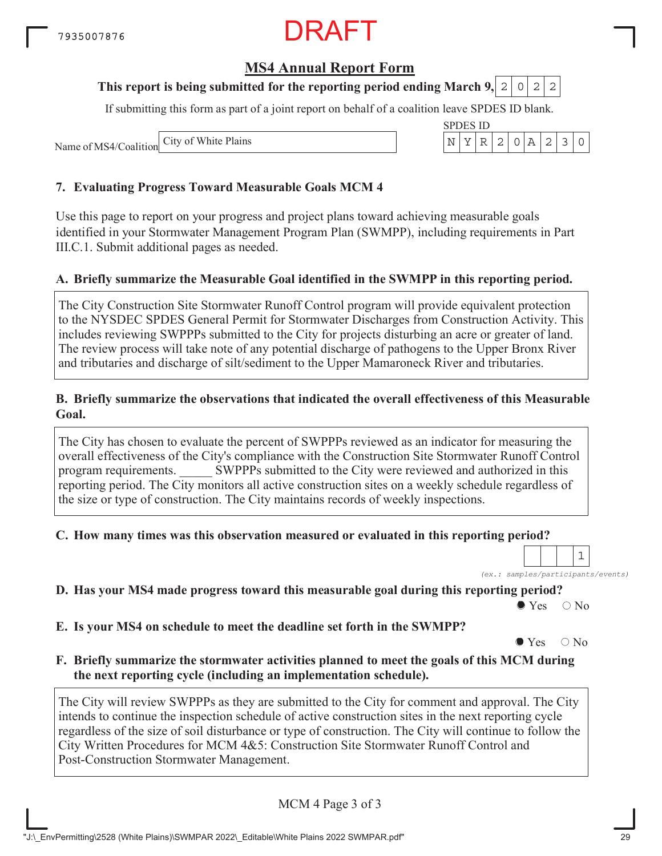### **MS4 Annual Report Form**

#### **This report is being submitted for the reporting period ending March 9, 2 0 2 2**

If submitting this form as part of a joint report on behalf of a coalition leave SPDES ID blank.

Name of MS4/Coalition City of White Plains

#### **7. Evaluating Progress Toward Measurable Goals MCM 4**

Use this page to report on your progress and project plans toward achieving measurable goals identified in your Stormwater Management Program Plan (SWMPP), including requirements in Part III.C.1. Submit additional pages as needed.

#### **A. Briefly summarize the Measurable Goal identified in the SWMPP in this reporting period.**

The City Construction Site Stormwater Runoff Control program will provide equivalent protection to the NYSDEC SPDES General Permit for Stormwater Discharges from Construction Activity. This includes reviewing SWPPPs submitted to the City for projects disturbing an acre or greater of land. The review process will take note of any potential discharge of pathogens to the Upper Bronx River and tributaries and discharge of silt/sediment to the Upper Mamaroneck River and tributaries.

#### **B. Briefly summarize the observations that indicated the overall effectiveness of this Measurable Goal.**

The City has chosen to evaluate the percent of SWPPPs reviewed as an indicator for measuring the overall effectiveness of the City's compliance with the Construction Site Stormwater Runoff Control program requirements. \_\_\_\_\_ SWPPPs submitted to the City were reviewed and authorized in this reporting period. The City monitors all active construction sites on a weekly schedule regardless of the size or type of construction. The City maintains records of weekly inspections.

#### **C. How many times was this observation measured or evaluated in this reporting period?**

*(ex.: samples/participants/events)*

1

**D. Has your MS4 made progress toward this measurable goal during this reporting period?**

 $\bullet$  Yes  $\circ$  No

**E. Is your MS4 on schedule to meet the deadline set forth in the SWMPP?**

 $\bullet$  Yes  $\circ$  No

**F. Briefly summarize the stormwater activities planned to meet the goals of this MCM during the next reporting cycle (including an implementation schedule).**

The City will review SWPPPs as they are submitted to the City for comment and approval. The City intends to continue the inspection schedule of active construction sites in the next reporting cycle regardless of the size of soil disturbance or type of construction. The City will continue to follow the City Written Procedures for MCM 4&5: Construction Site Stormwater Runoff Control and Post-Construction Stormwater Management.

MCM 4 Page 3 of 3

|  | ur MS4 made progress toward this measurable goal during this |  |  |  |
|--|--------------------------------------------------------------|--|--|--|
|  |                                                              |  |  |  |

| <b>SPDES ID</b> |  |  |  |  |
|-----------------|--|--|--|--|
|                 |  |  |  |  |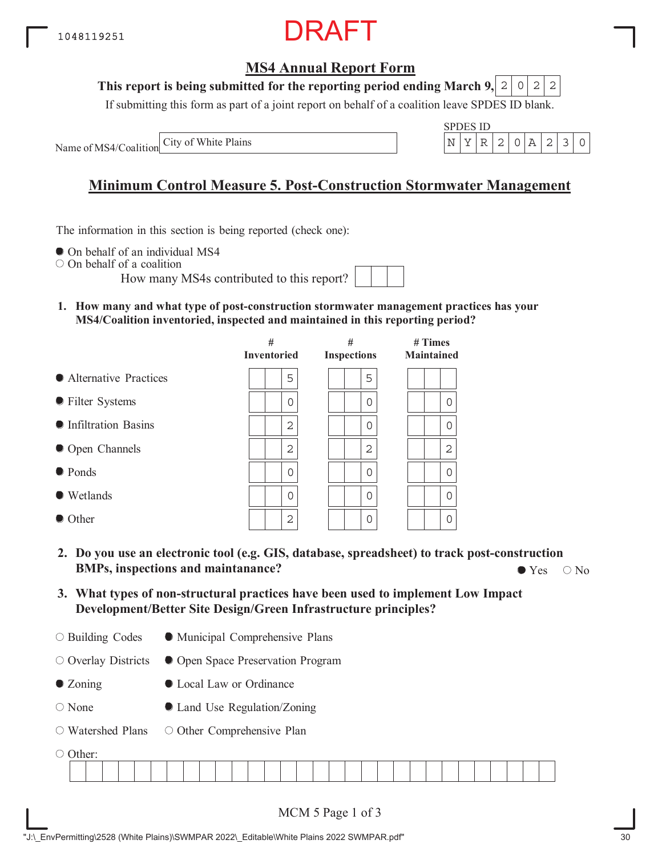### **MS4 Annual Report Form**

#### **This report is being submitted for the reporting period ending March 9,**  $2|0|2|2$

If submitting this form as part of a joint report on behalf of a coalition leave SPDES ID blank.

Name of MS4/Coalition



## **Minimum Control Measure 5. Post-Construction Stormwater Management**

The information in this section is being reported (check one):

 $\bullet$  On behalf of an individual MS4

On behalf of a coalition

How many MS4s contributed to this report?

**1. How many and what type of post-construction stormwater management practices has your MS4/Coalition inventoried, inspected and maintained in this reporting period?**

|                         | #<br><b>Inventoried</b> | #<br><b>Inspections</b> | $#$ Times<br><b>Maintained</b> |
|-------------------------|-------------------------|-------------------------|--------------------------------|
| • Alternative Practices | 5                       | 5                       |                                |
| • Filter Systems        | $\Omega$                | 0                       | $\Omega$                       |
| • Infiltration Basins   | 2                       | 0                       | 0                              |
| • Open Channels         | $\overline{2}$          | 2                       | $\overline{2}$                 |
| ● Ponds                 | $\Omega$                | Ω                       | $\Omega$                       |
| $\bullet$ Wetlands      | $\Omega$                | 0                       | $\mathbf 0$                    |
| • Other                 | 2                       | 0                       | 0                              |

- **2. Do you use an electronic tool (e.g. GIS, database, spreadsheet) to track post-construction BMPs, inspections and maintanance?**  $\bullet$  Yes  $\circ$  No
- **3. What types of non-structural practices have been used to implement Low Impact Development/Better Site Design/Green Infrastructure principles?**
- Building Codes Municipal Comprehensive Plans

 $\circ$  Overlay Districts Open Space Preservation Program

- Zoning Local Law or Ordinance
- None Land Use Regulation/Zoning
- Watershed Plans O Other Comprehensive Plan

| -------- |  |  |  |  |  |  |  |  |  |  |  |  |  |  |  |  |  |  |  |  |  |  |
|----------|--|--|--|--|--|--|--|--|--|--|--|--|--|--|--|--|--|--|--|--|--|--|
|          |  |  |  |  |  |  |  |  |  |  |  |  |  |  |  |  |  |  |  |  |  |  |
|          |  |  |  |  |  |  |  |  |  |  |  |  |  |  |  |  |  |  |  |  |  |  |
|          |  |  |  |  |  |  |  |  |  |  |  |  |  |  |  |  |  |  |  |  |  |  |
|          |  |  |  |  |  |  |  |  |  |  |  |  |  |  |  |  |  |  |  |  |  |  |
|          |  |  |  |  |  |  |  |  |  |  |  |  |  |  |  |  |  |  |  |  |  |  |
|          |  |  |  |  |  |  |  |  |  |  |  |  |  |  |  |  |  |  |  |  |  |  |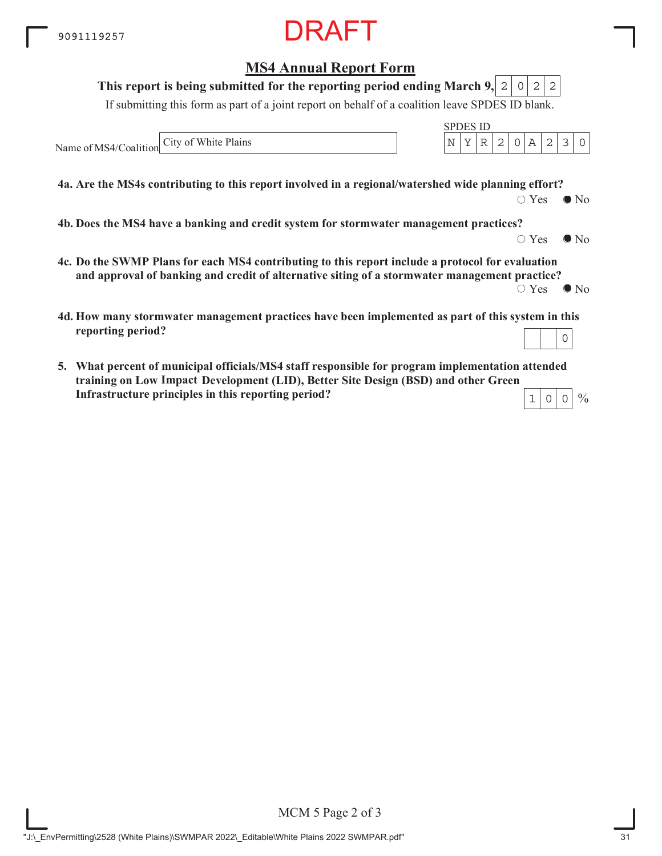Name of MS4/Coalition

### **MS4 Annual Report Form** If submitting this form as part of a joint report on behalf of a coalition leave SPDES ID blank. SPDES ID **This report is being submitted for the reporting period ending March 9,**  $2|0|2|2$ City of White Plains  $\begin{array}{c|c}\n\text{N} & \text{Y} & \text{R} & 2 & 0 & \text{A} & 2 & 3 & 0\n\end{array}$

**4a. Are the MS4s contributing to this report involved in a regional/watershed wide planning effort?**

 $\bigcirc$  Yes  $\bigcirc$  No

 $\circ$  Yes  $\bullet$  No

 $\frac{0}{0}$ 

**4b. Does the MS4 have a banking and credit system for stormwater management practices?**

- **4c. Do the SWMP Plans for each MS4 contributing to this report include a protocol for evaluation and approval of banking and credit of alternative siting of a stormwater management practice?**  $\circ$  Yes  $\bullet$  No
- **4d. How many stormwater management practices have been implemented as part of this system in this reporting period?** 0
- **5. What percent of municipal officials/MS4 staff responsible for program implementation attended training on Low Impace Development (LID), Better Site Design (BSD) and other Green ImpactInfrastructure principles in this reporting period?**  $1|0|0$

MCM 5 Page 2 of 3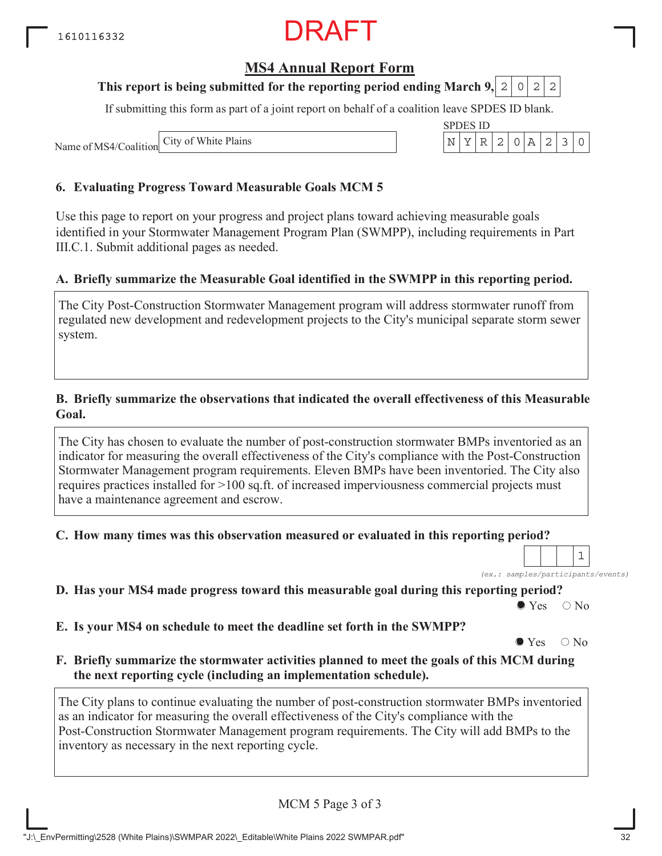### **MS4 Annual Report Form**

#### **This report is being submitted for the reporting period ending March 9, 2 0 2 2**

If submitting this form as part of a joint report on behalf of a coalition leave SPDES ID blank.

SPDES ID

Name of MS4/Coalition City of White Plains N YR 2 0A 230

#### **6. Evaluating Progress Toward Measurable Goals MCM 5**

Use this page to report on your progress and project plans toward achieving measurable goals identified in your Stormwater Management Program Plan (SWMPP), including requirements in Part III.C.1. Submit additional pages as needed.

#### **A. Briefly summarize the Measurable Goal identified in the SWMPP in this reporting period.**

The City Post-Construction Stormwater Management program will address stormwater runoff from regulated new development and redevelopment projects to the City's municipal separate storm sewer system.

#### **B. Briefly summarize the observations that indicated the overall effectiveness of this Measurable Goal.**

The City has chosen to evaluate the number of post-construction stormwater BMPs inventoried as an indicator for measuring the overall effectiveness of the City's compliance with the Post-Construction Stormwater Management program requirements. Eleven BMPs have been inventoried. The City also requires practices installed for >100 sq.ft. of increased imperviousness commercial projects must have a maintenance agreement and escrow.

**C. How many times was this observation measured or evaluated in this reporting period?**

*(ex.: samples/participants/events)* 1

**D. Has your MS4 made progress toward this measurable goal during this reporting period?**

 $\bullet$  Yes  $\circ$  No

**E. Is your MS4 on schedule to meet the deadline set forth in the SWMPP?**

 $\bullet$  Yes  $\circ$  No

**F. Briefly summarize the stormwater activities planned to meet the goals of this MCM during the next reporting cycle (including an implementation schedule).**

The City plans to continue evaluating the number of post-construction stormwater BMPs inventoried as an indicator for measuring the overall effectiveness of the City's compliance with the Post-Construction Stormwater Management program requirements. The City will add BMPs to the inventory as necessary in the next reporting c

MCM 5 Page 3 of 3

| ventory as necessary in the next reporting cycle. |  |
|---------------------------------------------------|--|
|                                                   |  |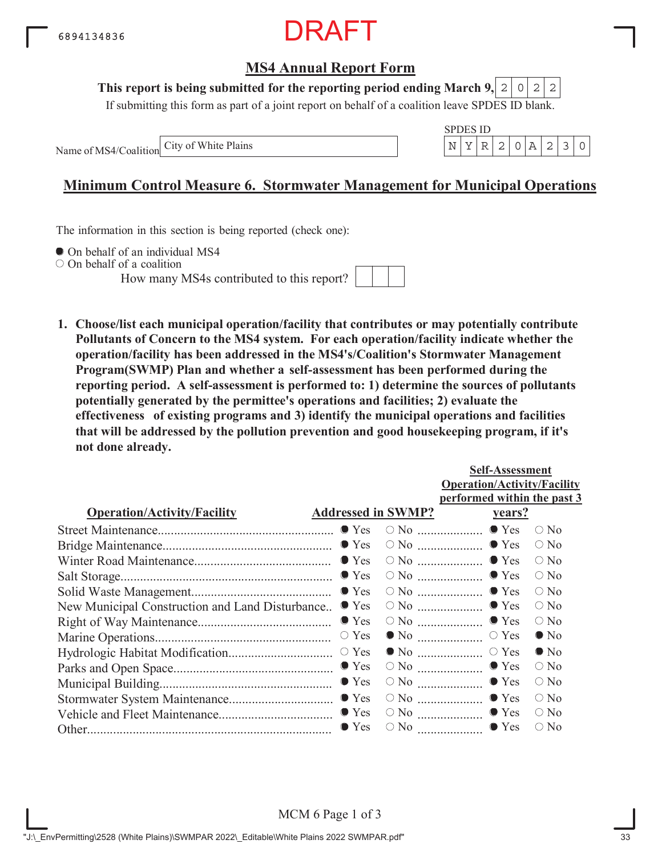

#### **This report is being submitted for the reporting period ending March 9,**  $2|0|2|2$

If submitting this form as part of a joint report on behalf of a coalition leave SPDES ID blank.

Name of MS4/Coalition



### **Minimum Control Measure 6. Stormwater Management for Municipal Operations**

The information in this section is being reported (check one):

 $\bullet$  On behalf of an individual MS4

On behalf of a coalition

How many MS4s contributed to this report?



**1. Choose/list each municipal operation/facility that contributes or may potentially contribute Pollutants of Concern to the MS4 system. For each operation/facility indicate whether the operation/facility has been addressed in the MS4's/Coalition's Stormwater Management Program(SWMP) Plan and whether a self-assessment has been performed during the reporting period. A self-assessment is performed to: 1) determine the sources of pollutants potentially generated by the permittee's operations and facilities; 2) evaluate the effectiveness of existing programs and 3) identify the municipal operations and facilities that will be addressed by the pollution prevention and good housekeeping program, if it's not done already.**

|                                                 |                           |                                                | <b>Self-Assessment</b>             |               |  |  |  |  |
|-------------------------------------------------|---------------------------|------------------------------------------------|------------------------------------|---------------|--|--|--|--|
|                                                 |                           |                                                | <b>Operation/Activity/Facility</b> |               |  |  |  |  |
|                                                 |                           |                                                | performed within the past 3        |               |  |  |  |  |
| <b>Operation/Activity/Facility</b>              | <b>Addressed in SWMP?</b> |                                                | <u>vears?</u>                      |               |  |  |  |  |
|                                                 |                           |                                                |                                    | $\bigcirc$ No |  |  |  |  |
|                                                 |                           |                                                |                                    | $\bigcirc$ No |  |  |  |  |
|                                                 |                           |                                                |                                    | $\circ$ No    |  |  |  |  |
|                                                 |                           |                                                |                                    | $\bigcirc$ No |  |  |  |  |
|                                                 |                           |                                                |                                    | $\bigcirc$ No |  |  |  |  |
| New Municipal Construction and Land Disturbance | $\bullet$ Yes             |                                                | $\circ$ No $\ldots$ $\bullet$ Yes  | $\circ$ No    |  |  |  |  |
|                                                 | $\bullet$ Yes             |                                                | $\circ$ No $\ldots$ $\bullet$ Yes  | $\circ$ No    |  |  |  |  |
|                                                 | $\circ$ Yes               |                                                |                                    | $\bullet$ No  |  |  |  |  |
|                                                 |                           |                                                |                                    | $\bullet$ No  |  |  |  |  |
|                                                 |                           | $\circ$ No $\ldots$ $\ldots$ $\ldots$ $\ldots$ | $\bullet$ Yes                      | $\bigcirc$ No |  |  |  |  |
|                                                 |                           |                                                | $\bullet$ Yes                      | $\circ$ No    |  |  |  |  |
|                                                 |                           |                                                | $\circ$ No $\ldots$ $\bullet$ Yes  | $\bigcirc$ No |  |  |  |  |
|                                                 |                           |                                                | $\circ$ No $\ldots$ $\bullet$ Yes  | $\circ$ No    |  |  |  |  |
|                                                 | $\bullet$ Yes             | $\circ$ No $\ldots$                            | $\bullet$ Yes                      | $\bigcirc$ No |  |  |  |  |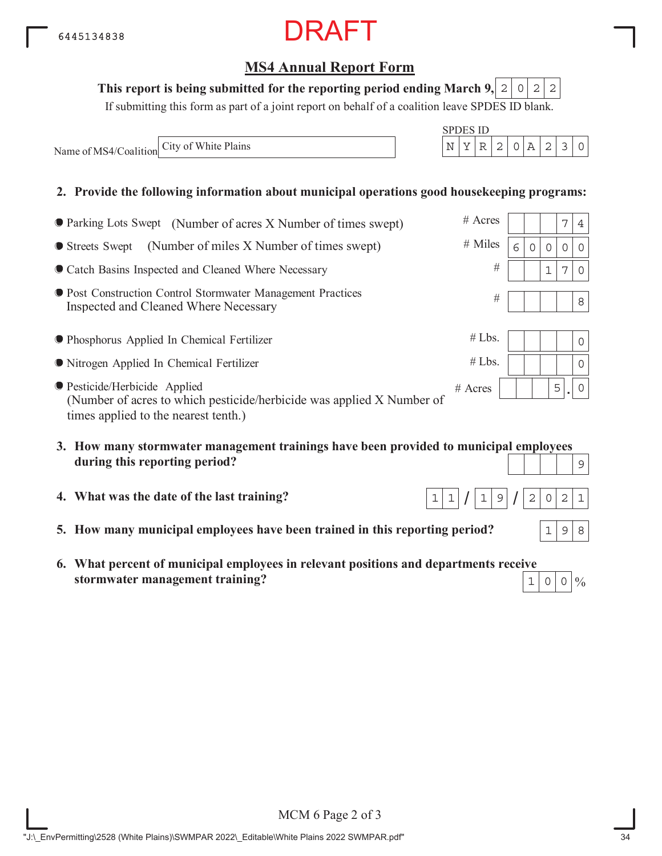### **MS4 Annual Report Form**

#### This report is being submitted for the reporting period ending March 9,  $\mid 2 \mid 0 \mid 2 \mid 2$

If submitting this form as part of a joint report on behalf of a coalition leave SPDES ID blank.

Name of MS4/Coalition City of White Plains  $N = \begin{bmatrix} N & Y & R & 2 & 0 & A & 2 & 3 & 0 \end{bmatrix}$ 

#### **2. Provide the following information about municipal operations good housekeeping programs:**

| ● Parking Lots Swept (Number of acres X Number of times swept)                                                                                        | $#$ Acres |   |   |   | 7 | 4           |
|-------------------------------------------------------------------------------------------------------------------------------------------------------|-----------|---|---|---|---|-------------|
| (Number of miles X Number of times swept)<br>● Streets Swept                                                                                          | # Miles   | 6 | 0 | 0 | 0 | $\Omega$    |
| Catch Basins Inspected and Cleaned Where Necessary                                                                                                    | #         |   |   |   | 7 | $\Omega$    |
| <b>• Post Construction Control Stormwater Management Practices</b><br>Inspected and Cleaned Where Necessary                                           | #         |   |   |   |   | 8           |
| ● Phosphorus Applied In Chemical Fertilizer                                                                                                           | #Lbs.     |   |   |   |   | 0           |
| • Nitrogen Applied In Chemical Fertilizer                                                                                                             | #Lbs.     |   |   |   |   | 0           |
| <b>• Pesticide/Herbicide Applied</b><br>(Number of acres to which pesticide/herbicide was applied X Number of<br>times applied to the nearest tenth.) | $#$ Acres |   |   | 5 |   | $\mathbf 0$ |
| 2 How many starmwater managament trainings have been provided to municipal employees                                                                  |           |   |   |   |   |             |

- **3. How many stormwater management trainings have been provided to municipal employees during this reporting period?** 9
- **4. What was the date of the last training?**
- **5. How many municipal employees have been trained in this reporting period?**
- **6. What percent of municipal employees in relevant positions and departments receive stormwater management training?**



SPDES ID

| #Lbs. |  |  |  |   |  |  |
|-------|--|--|--|---|--|--|
| #Lbs. |  |  |  |   |  |  |
| Acres |  |  |  | 5 |  |  |

 $1 | 9$ 

 $1|1|/|1|9|/|2|0|2|1$ 



 $198$